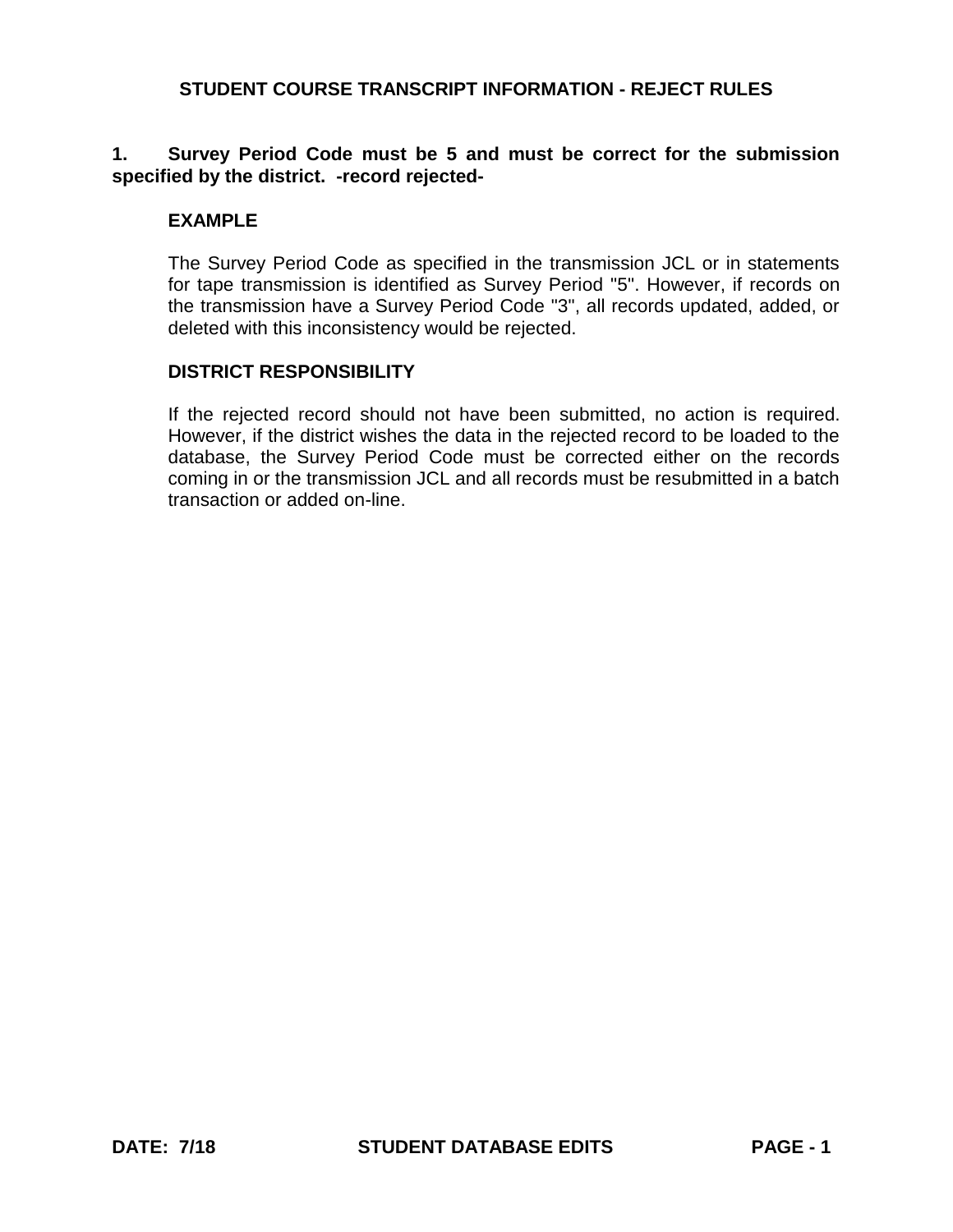## **1. Survey Period Code must be 5 and must be correct for the submission specified by the district. -record rejected-**

### **EXAMPLE**

The Survey Period Code as specified in the transmission JCL or in statements for tape transmission is identified as Survey Period "5". However, if records on the transmission have a Survey Period Code "3", all records updated, added, or deleted with this inconsistency would be rejected.

#### **DISTRICT RESPONSIBILITY**

If the rejected record should not have been submitted, no action is required. However, if the district wishes the data in the rejected record to be loaded to the database, the Survey Period Code must be corrected either on the records coming in or the transmission JCL and all records must be resubmitted in a batch transaction or added on-line.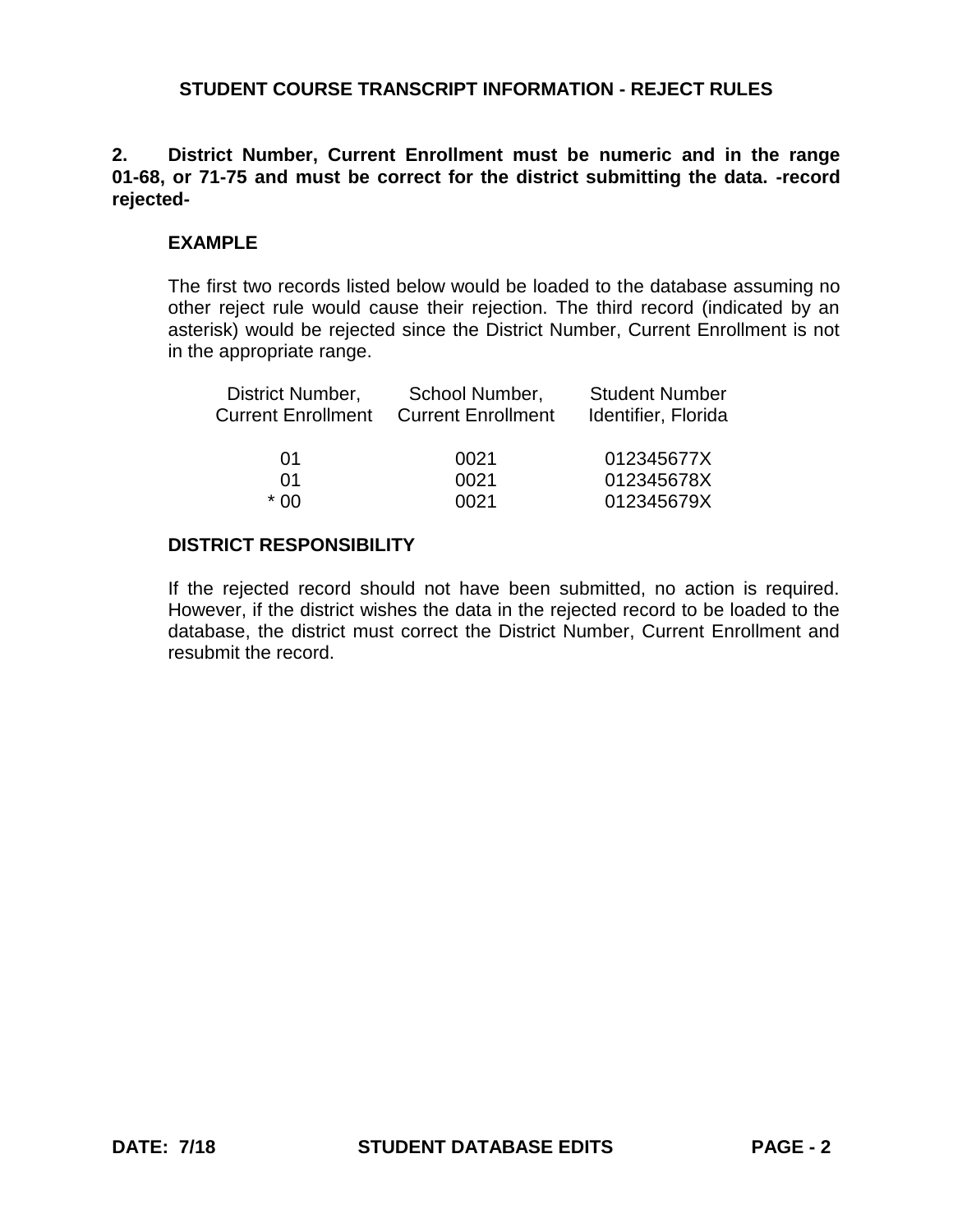### **2. District Number, Current Enrollment must be numeric and in the range 01-68, or 71-75 and must be correct for the district submitting the data. -record rejected-**

### **EXAMPLE**

The first two records listed below would be loaded to the database assuming no other reject rule would cause their rejection. The third record (indicated by an asterisk) would be rejected since the District Number, Current Enrollment is not in the appropriate range.

| School Number,<br><b>Current Enrollment</b> | <b>Student Number</b><br>Identifier, Florida |
|---------------------------------------------|----------------------------------------------|
| 0021                                        | 012345677X                                   |
| 0021                                        | 012345678X                                   |
| 0021                                        | 012345679X                                   |
|                                             |                                              |

#### **DISTRICT RESPONSIBILITY**

If the rejected record should not have been submitted, no action is required. However, if the district wishes the data in the rejected record to be loaded to the database, the district must correct the District Number, Current Enrollment and resubmit the record.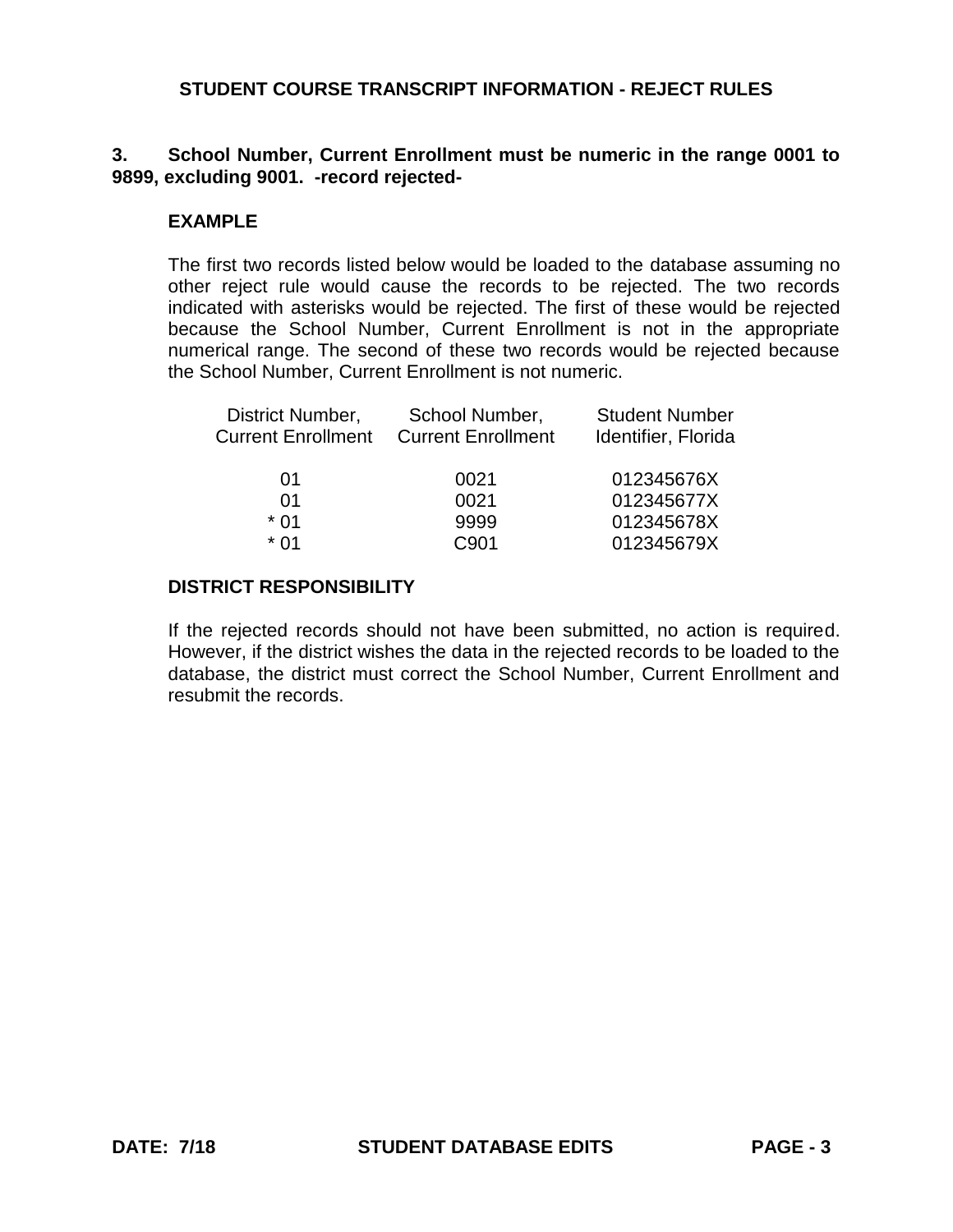## **3. School Number, Current Enrollment must be numeric in the range 0001 to 9899, excluding 9001. -record rejected-**

### **EXAMPLE**

The first two records listed below would be loaded to the database assuming no other reject rule would cause the records to be rejected. The two records indicated with asterisks would be rejected. The first of these would be rejected because the School Number, Current Enrollment is not in the appropriate numerical range. The second of these two records would be rejected because the School Number, Current Enrollment is not numeric.

| District Number,          | School Number,            | <b>Student Number</b> |
|---------------------------|---------------------------|-----------------------|
| <b>Current Enrollment</b> | <b>Current Enrollment</b> | Identifier, Florida   |
|                           |                           |                       |
| 01                        | 0021                      | 012345676X            |
| 01                        | 0021                      | 012345677X            |
| * 01                      | 9999                      | 012345678X            |
| * በ1                      | C901                      | 012345679X            |

#### **DISTRICT RESPONSIBILITY**

If the rejected records should not have been submitted, no action is required. However, if the district wishes the data in the rejected records to be loaded to the database, the district must correct the School Number, Current Enrollment and resubmit the records.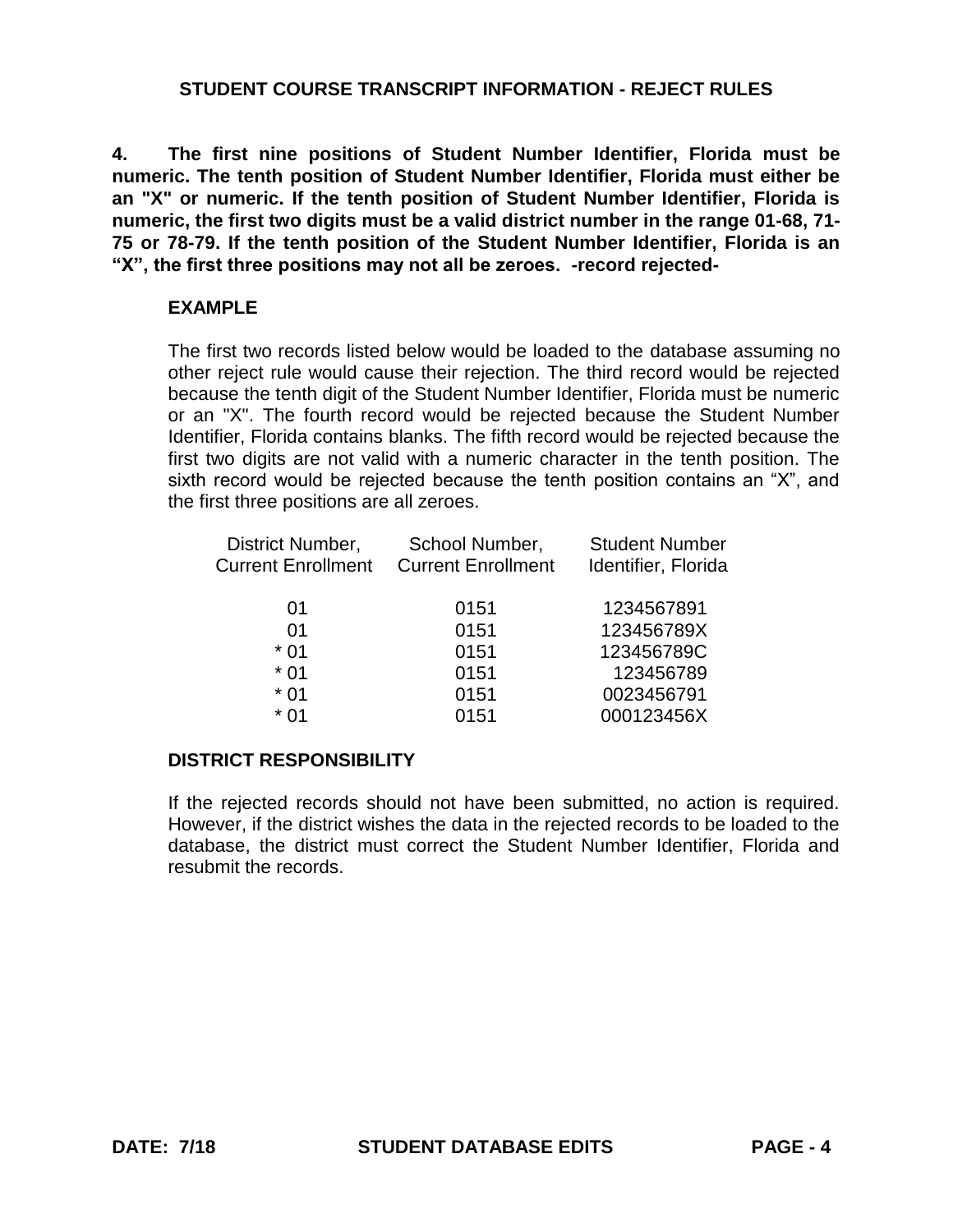**4. The first nine positions of Student Number Identifier, Florida must be numeric. The tenth position of Student Number Identifier, Florida must either be an "X" or numeric. If the tenth position of Student Number Identifier, Florida is numeric, the first two digits must be a valid district number in the range 01-68, 71- 75 or 78-79. If the tenth position of the Student Number Identifier, Florida is an "X", the first three positions may not all be zeroes. -record rejected-**

## **EXAMPLE**

The first two records listed below would be loaded to the database assuming no other reject rule would cause their rejection. The third record would be rejected because the tenth digit of the Student Number Identifier, Florida must be numeric or an "X". The fourth record would be rejected because the Student Number Identifier, Florida contains blanks. The fifth record would be rejected because the first two digits are not valid with a numeric character in the tenth position. The sixth record would be rejected because the tenth position contains an "X", and the first three positions are all zeroes.

| School Number,            | <b>Student Number</b> |
|---------------------------|-----------------------|
| <b>Current Enrollment</b> | Identifier, Florida   |
|                           |                       |
|                           | 1234567891            |
| 0151                      | 123456789X            |
| 0151                      | 123456789C            |
| 0151                      | 123456789             |
| 0151                      | 0023456791            |
| 0151                      | 000123456X            |
|                           | 0151                  |

# **DISTRICT RESPONSIBILITY**

If the rejected records should not have been submitted, no action is required. However, if the district wishes the data in the rejected records to be loaded to the database, the district must correct the Student Number Identifier, Florida and resubmit the records.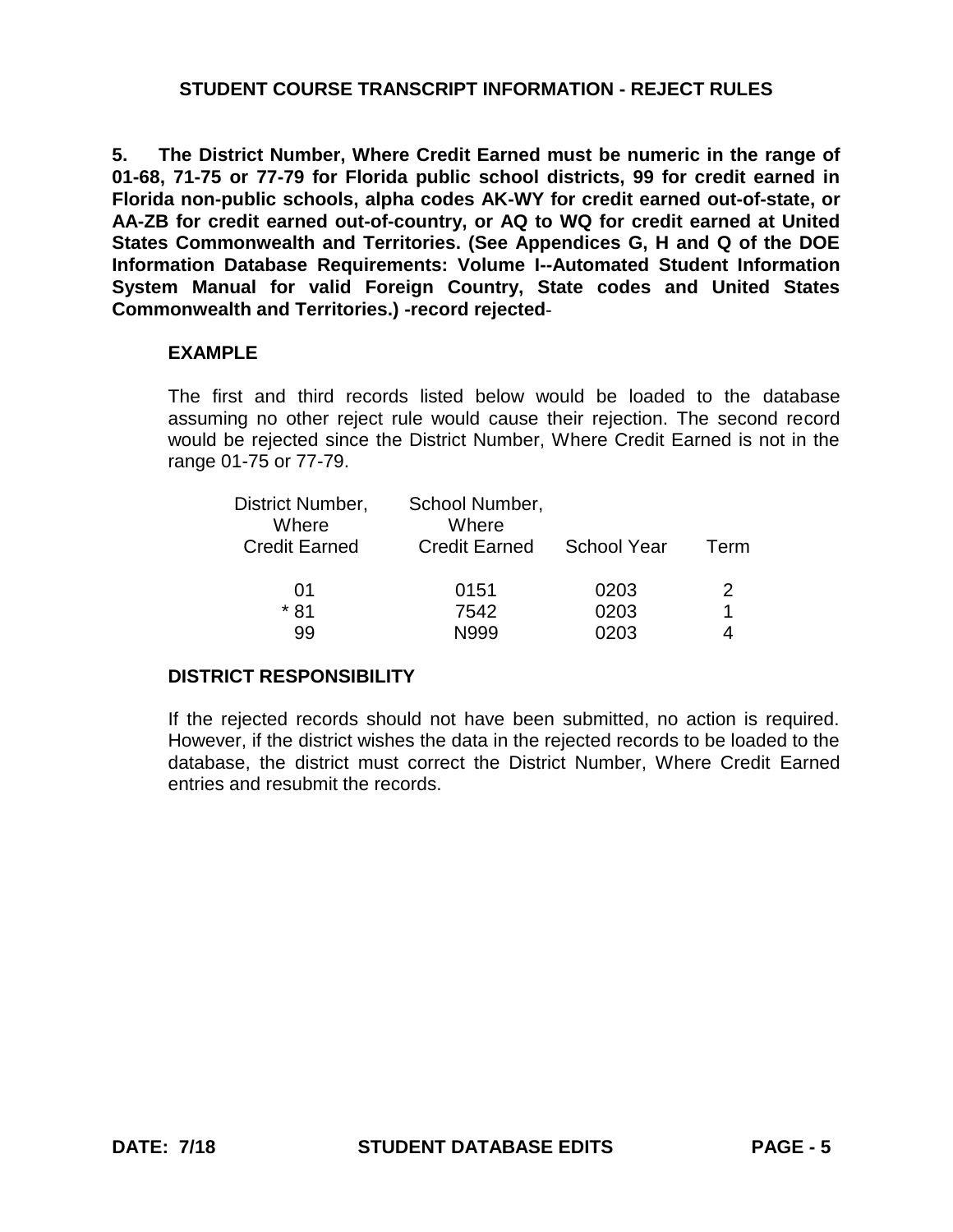**5. The District Number, Where Credit Earned must be numeric in the range of 01-68, 71-75 or 77-79 for Florida public school districts, 99 for credit earned in Florida non-public schools, alpha codes AK-WY for credit earned out-of-state, or AA-ZB for credit earned out-of-country, or AQ to WQ for credit earned at United States Commonwealth and Territories. (See Appendices G, H and Q of the DOE Information Database Requirements: Volume I--Automated Student Information System Manual for valid Foreign Country, State codes and United States Commonwealth and Territories.) -record rejected-**

### **EXAMPLE**

The first and third records listed below would be loaded to the database assuming no other reject rule would cause their rejection. The second record would be rejected since the District Number, Where Credit Earned is not in the range 01-75 or 77-79.

| District Number,<br>Where | School Number,<br>Where |                    |      |
|---------------------------|-------------------------|--------------------|------|
| <b>Credit Earned</b>      | <b>Credit Earned</b>    | <b>School Year</b> | Term |
| 01                        | 0151                    | 0203               | 2    |
| * 81                      | 7542                    | 0203               |      |
| 99                        | N999                    | በ2በ3               |      |

# **DISTRICT RESPONSIBILITY**

If the rejected records should not have been submitted, no action is required. However, if the district wishes the data in the rejected records to be loaded to the database, the district must correct the District Number, Where Credit Earned entries and resubmit the records.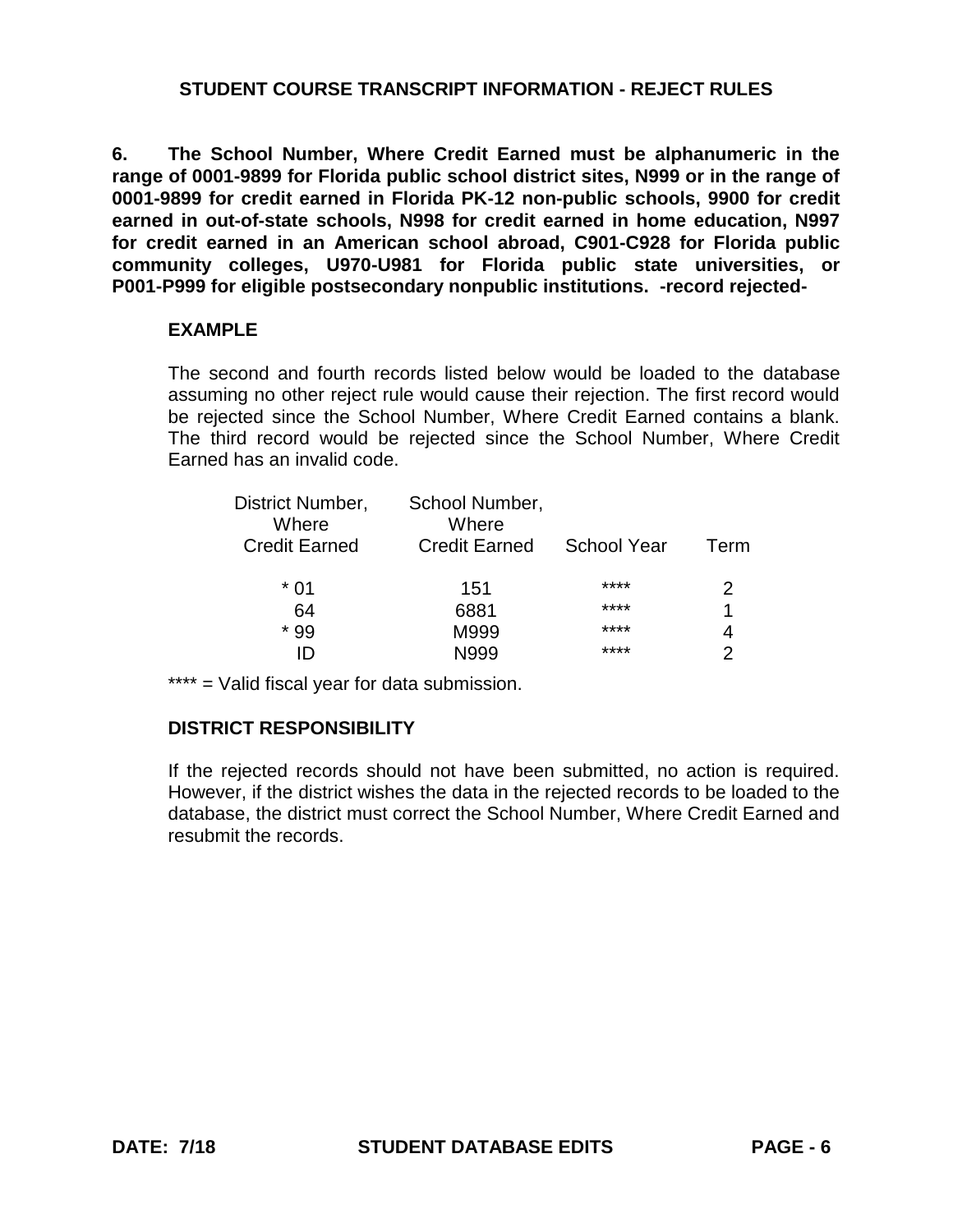**6. The School Number, Where Credit Earned must be alphanumeric in the range of 0001-9899 for Florida public school district sites, N999 or in the range of 0001-9899 for credit earned in Florida PK-12 non-public schools, 9900 for credit earned in out-of-state schools, N998 for credit earned in home education, N997 for credit earned in an American school abroad, C901-C928 for Florida public community colleges, U970-U981 for Florida public state universities, or P001-P999 for eligible postsecondary nonpublic institutions. -record rejected-**

#### **EXAMPLE**

The second and fourth records listed below would be loaded to the database assuming no other reject rule would cause their rejection. The first record would be rejected since the School Number, Where Credit Earned contains a blank. The third record would be rejected since the School Number, Where Credit Earned has an invalid code.

| District Number,<br>Where | School Number,<br>Where |                    |      |
|---------------------------|-------------------------|--------------------|------|
| <b>Credit Earned</b>      | <b>Credit Earned</b>    | <b>School Year</b> | Term |
| * በ1                      | 151                     | ****               |      |
| 64                        | 6881                    | ****               |      |
| * 99                      | M999                    | ****               |      |
|                           | N999                    | ****               |      |

\*\*\*\* = Valid fiscal year for data submission.

# **DISTRICT RESPONSIBILITY**

If the rejected records should not have been submitted, no action is required. However, if the district wishes the data in the rejected records to be loaded to the database, the district must correct the School Number, Where Credit Earned and resubmit the records.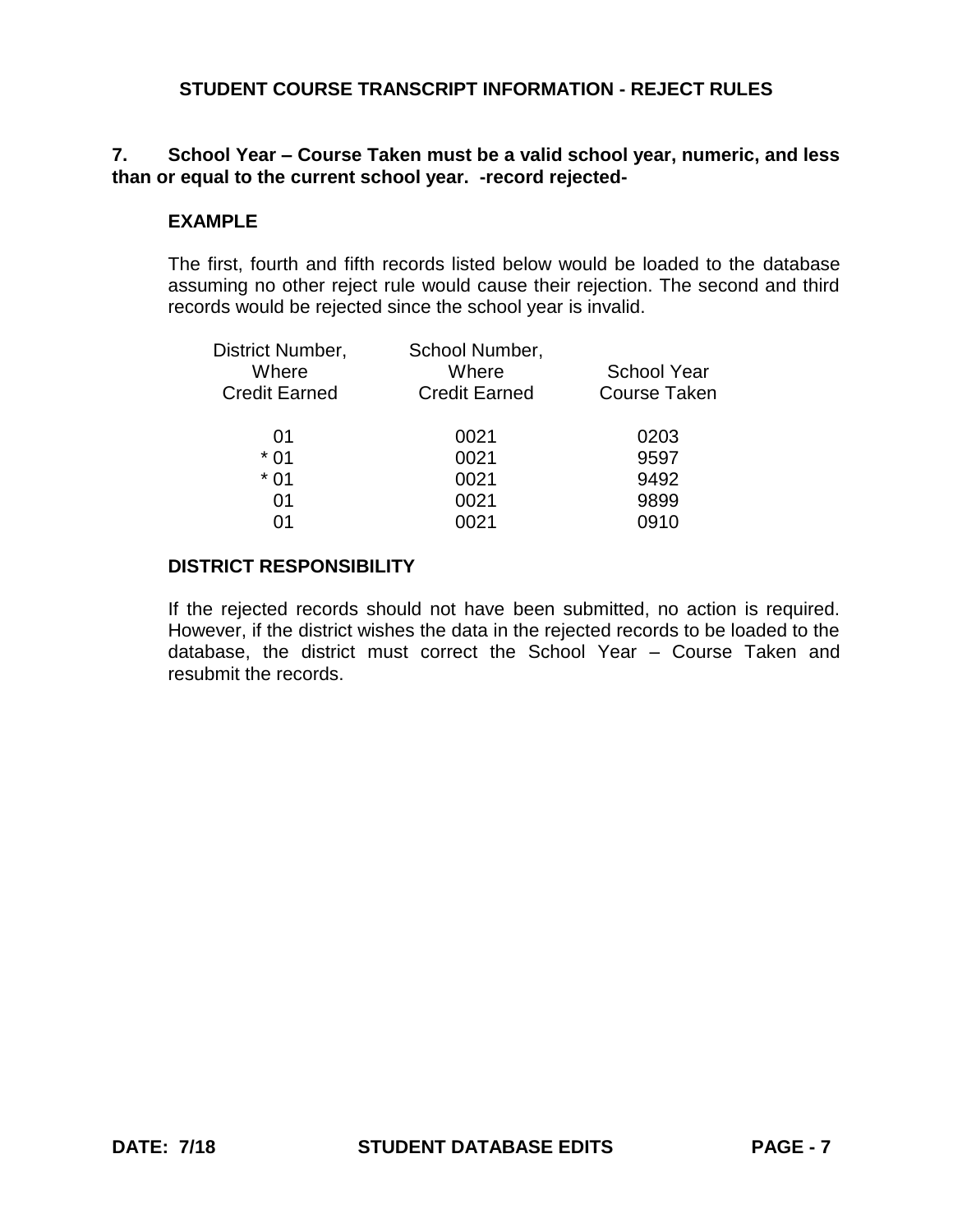# **7. School Year – Course Taken must be a valid school year, numeric, and less than or equal to the current school year. -record rejected-**

### **EXAMPLE**

The first, fourth and fifth records listed below would be loaded to the database assuming no other reject rule would cause their rejection. The second and third records would be rejected since the school year is invalid.

| District Number,<br>Where<br><b>Credit Earned</b> | School Number,<br>Where<br><b>Credit Earned</b> | <b>School Year</b><br><b>Course Taken</b> |
|---------------------------------------------------|-------------------------------------------------|-------------------------------------------|
| 01                                                | 0021                                            | 0203                                      |
| $*01$                                             | 0021                                            | 9597                                      |
| $*01$                                             | 0021                                            | 9492                                      |
| 01                                                | 0021                                            | 9899                                      |
| 01                                                | 0021                                            | 0910                                      |
|                                                   |                                                 |                                           |

### **DISTRICT RESPONSIBILITY**

If the rejected records should not have been submitted, no action is required. However, if the district wishes the data in the rejected records to be loaded to the database, the district must correct the School Year – Course Taken and resubmit the records.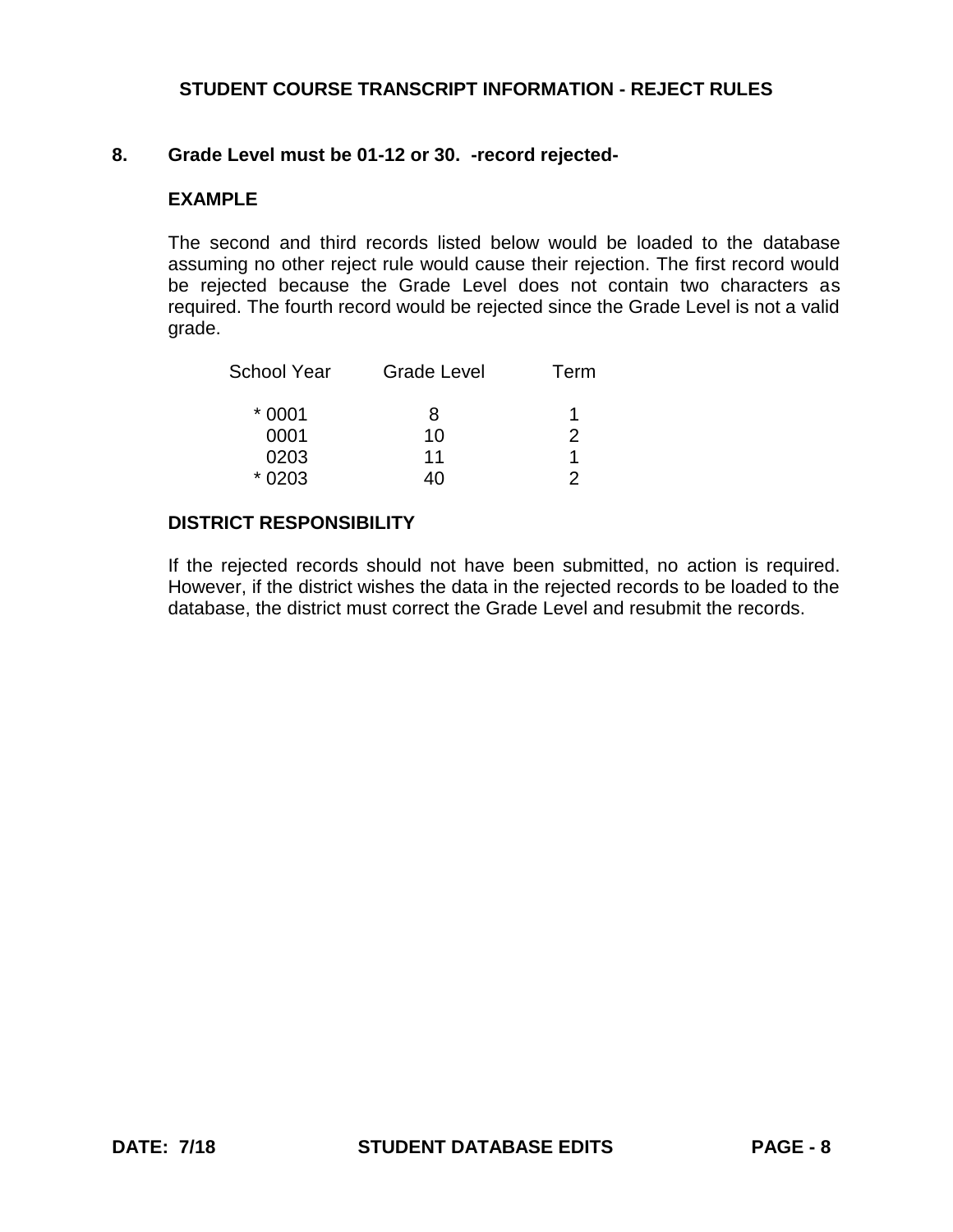### **8. Grade Level must be 01-12 or 30. -record rejected-**

### **EXAMPLE**

The second and third records listed below would be loaded to the database assuming no other reject rule would cause their rejection. The first record would be rejected because the Grade Level does not contain two characters as required. The fourth record would be rejected since the Grade Level is not a valid grade.

| <b>School Year</b> | <b>Grade Level</b> | Term |
|--------------------|--------------------|------|
| $*0001$            | 8                  |      |
| 0001               | 10                 | 2    |
| 0203               | 11                 |      |
| $*0203$            | 40                 | 2    |

#### **DISTRICT RESPONSIBILITY**

If the rejected records should not have been submitted, no action is required. However, if the district wishes the data in the rejected records to be loaded to the database, the district must correct the Grade Level and resubmit the records.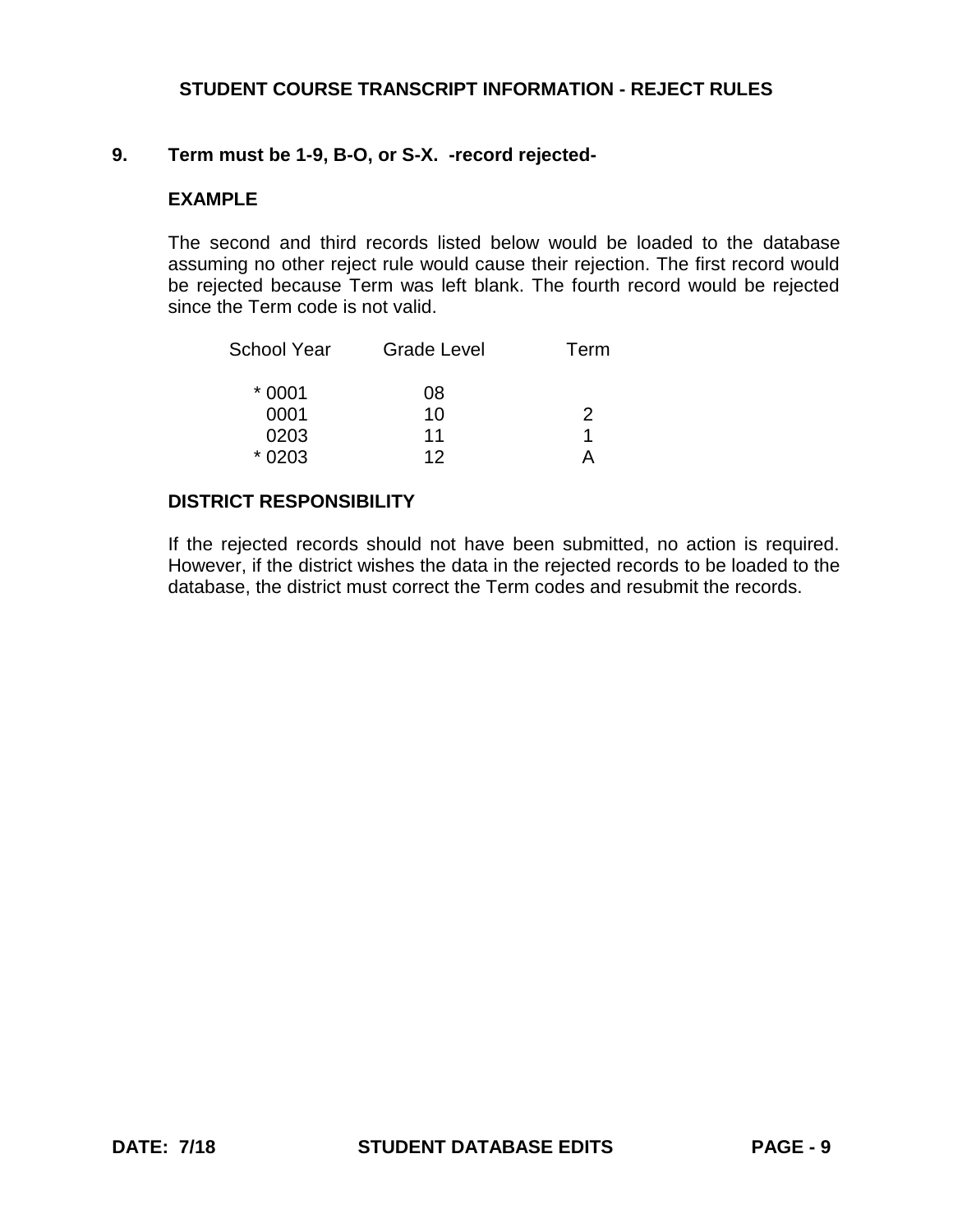### **9. Term must be 1-9, B-O, or S-X. -record rejected-**

### **EXAMPLE**

The second and third records listed below would be loaded to the database assuming no other reject rule would cause their rejection. The first record would be rejected because Term was left blank. The fourth record would be rejected since the Term code is not valid.

| School Year | <b>Grade Level</b> | Term |
|-------------|--------------------|------|
| $*0001$     | 08                 |      |
| 0001        | 10                 | 2    |
| 0203        | 11                 |      |
| $*0203$     | 12                 |      |

### **DISTRICT RESPONSIBILITY**

If the rejected records should not have been submitted, no action is required. However, if the district wishes the data in the rejected records to be loaded to the database, the district must correct the Term codes and resubmit the records.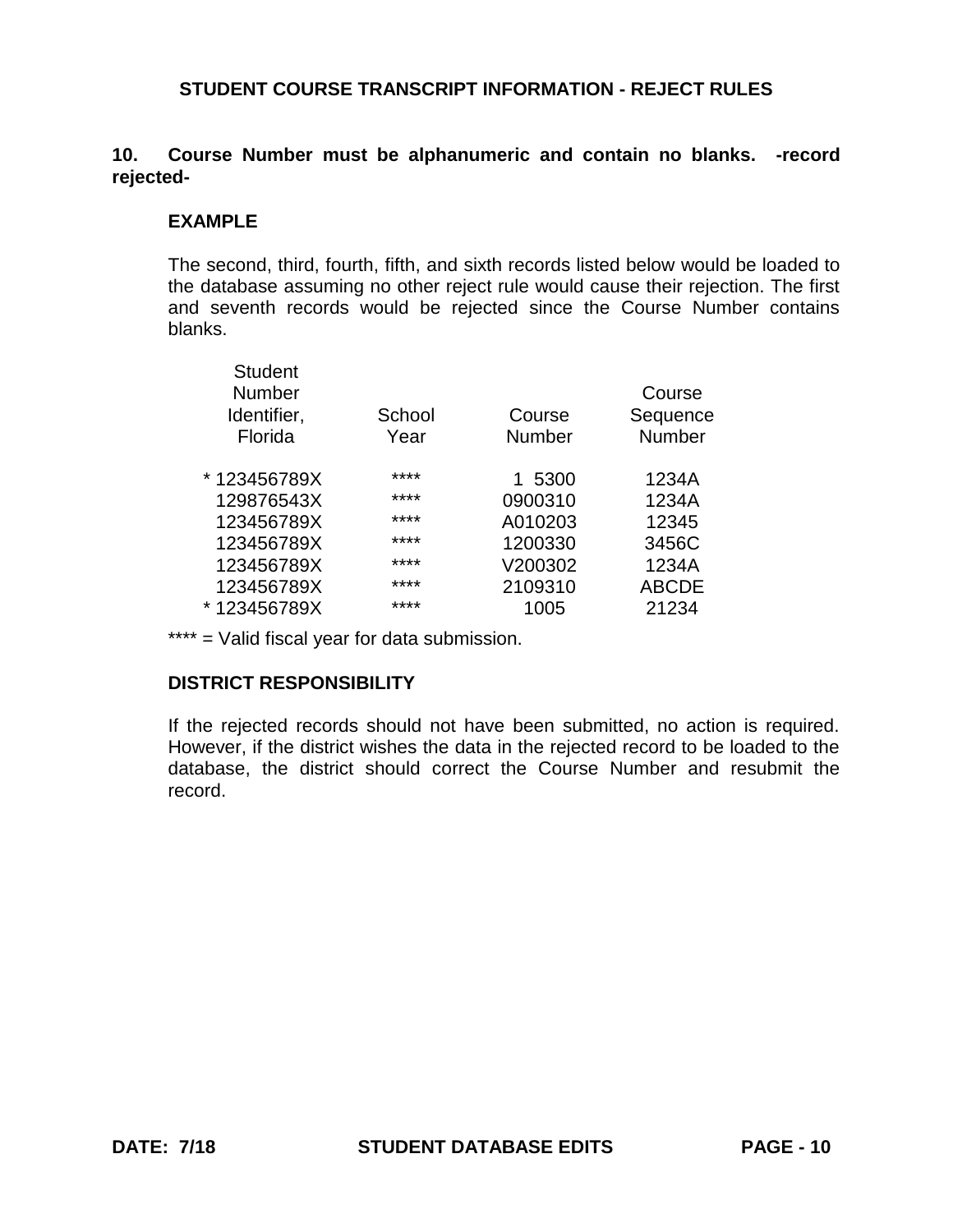# **10. Course Number must be alphanumeric and contain no blanks. -record rejected-**

### **EXAMPLE**

The second, third, fourth, fifth, and sixth records listed below would be loaded to the database assuming no other reject rule would cause their rejection. The first and seventh records would be rejected since the Course Number contains blanks.

| <b>Student</b><br><b>Number</b><br>Identifier,<br>Florida | School<br>Year | Course<br><b>Number</b> | Course<br>Sequence<br><b>Number</b> |
|-----------------------------------------------------------|----------------|-------------------------|-------------------------------------|
| * 123456789X                                              | ****           | 1 5300                  | 1234A                               |
| 129876543X                                                | ****           | 0900310                 | 1234A                               |
| 123456789X                                                | ****           | A010203                 | 12345                               |
| 123456789X                                                | ****           | 1200330                 | 3456C                               |
| 123456789X                                                | ****           | V200302                 | 1234A                               |
| 123456789X                                                | ****           | 2109310                 | <b>ABCDE</b>                        |
| * 123456789X                                              | ****           | 1005                    | 21234                               |
|                                                           |                |                         |                                     |

\*\*\*\* = Valid fiscal year for data submission.

# **DISTRICT RESPONSIBILITY**

If the rejected records should not have been submitted, no action is required. However, if the district wishes the data in the rejected record to be loaded to the database, the district should correct the Course Number and resubmit the record.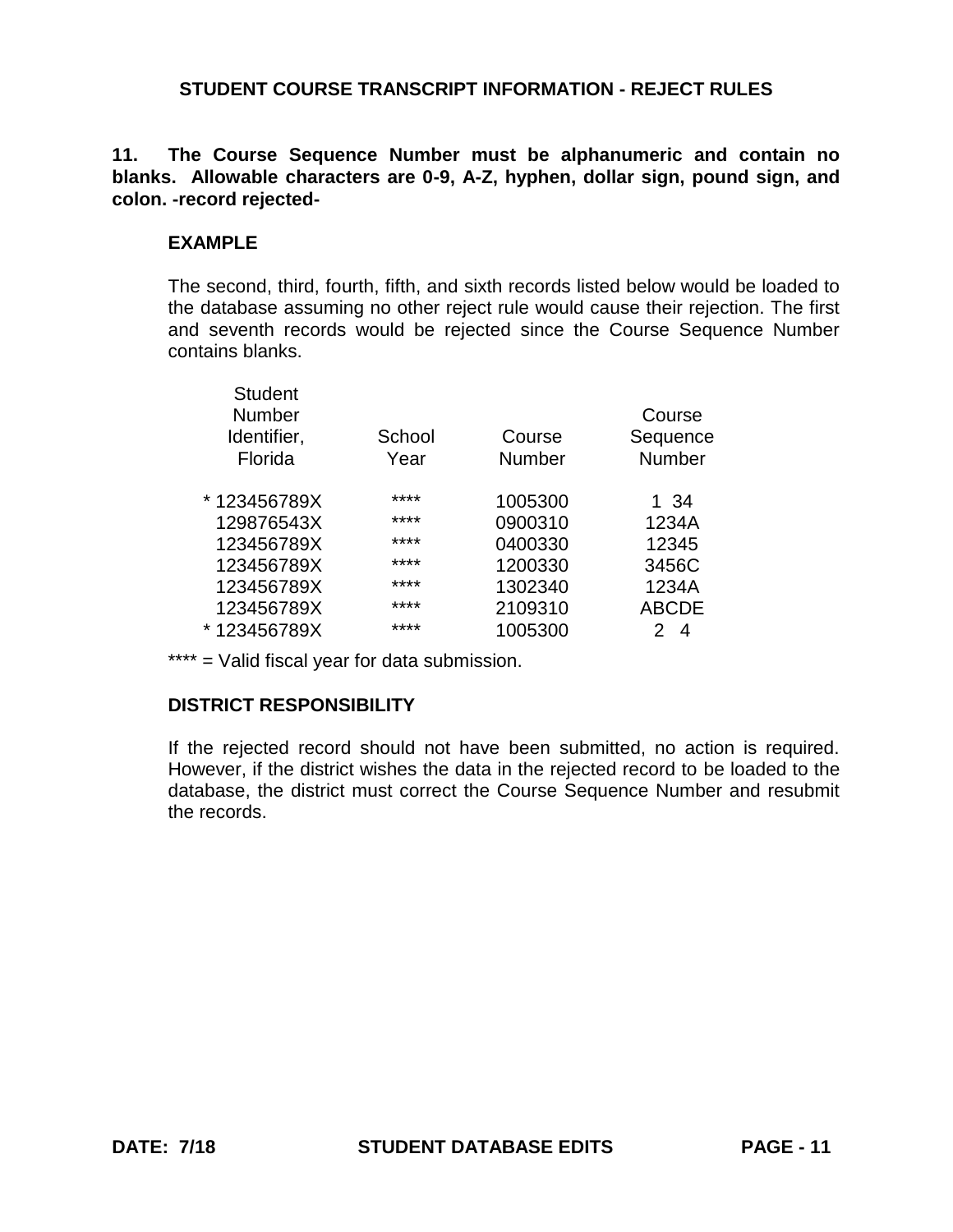# **11. The Course Sequence Number must be alphanumeric and contain no blanks. Allowable characters are 0-9, A-Z, hyphen, dollar sign, pound sign, and colon. -record rejected-**

# **EXAMPLE**

The second, third, fourth, fifth, and sixth records listed below would be loaded to the database assuming no other reject rule would cause their rejection. The first and seventh records would be rejected since the Course Sequence Number contains blanks.

| <b>Student</b><br><b>Number</b><br>Identifier,<br>Florida | School<br>Year | Course<br>Number | Course<br>Sequence<br><b>Number</b> |
|-----------------------------------------------------------|----------------|------------------|-------------------------------------|
| * 123456789X                                              | ****           | 1005300          | 1 34                                |
| 129876543X                                                | ****           | 0900310          | 1234A                               |
| 123456789X                                                | ****           | 0400330          | 12345                               |
| 123456789X                                                | ****           | 1200330          | 3456C                               |
| 123456789X                                                | ****           | 1302340          | 1234A                               |
| 123456789X                                                | ****           | 2109310          | <b>ABCDE</b>                        |
| * 123456789X                                              | ****           | 1005300          | 2.<br>4                             |
|                                                           |                |                  |                                     |

\*\*\*\* = Valid fiscal year for data submission.

# **DISTRICT RESPONSIBILITY**

If the rejected record should not have been submitted, no action is required. However, if the district wishes the data in the rejected record to be loaded to the database, the district must correct the Course Sequence Number and resubmit the records.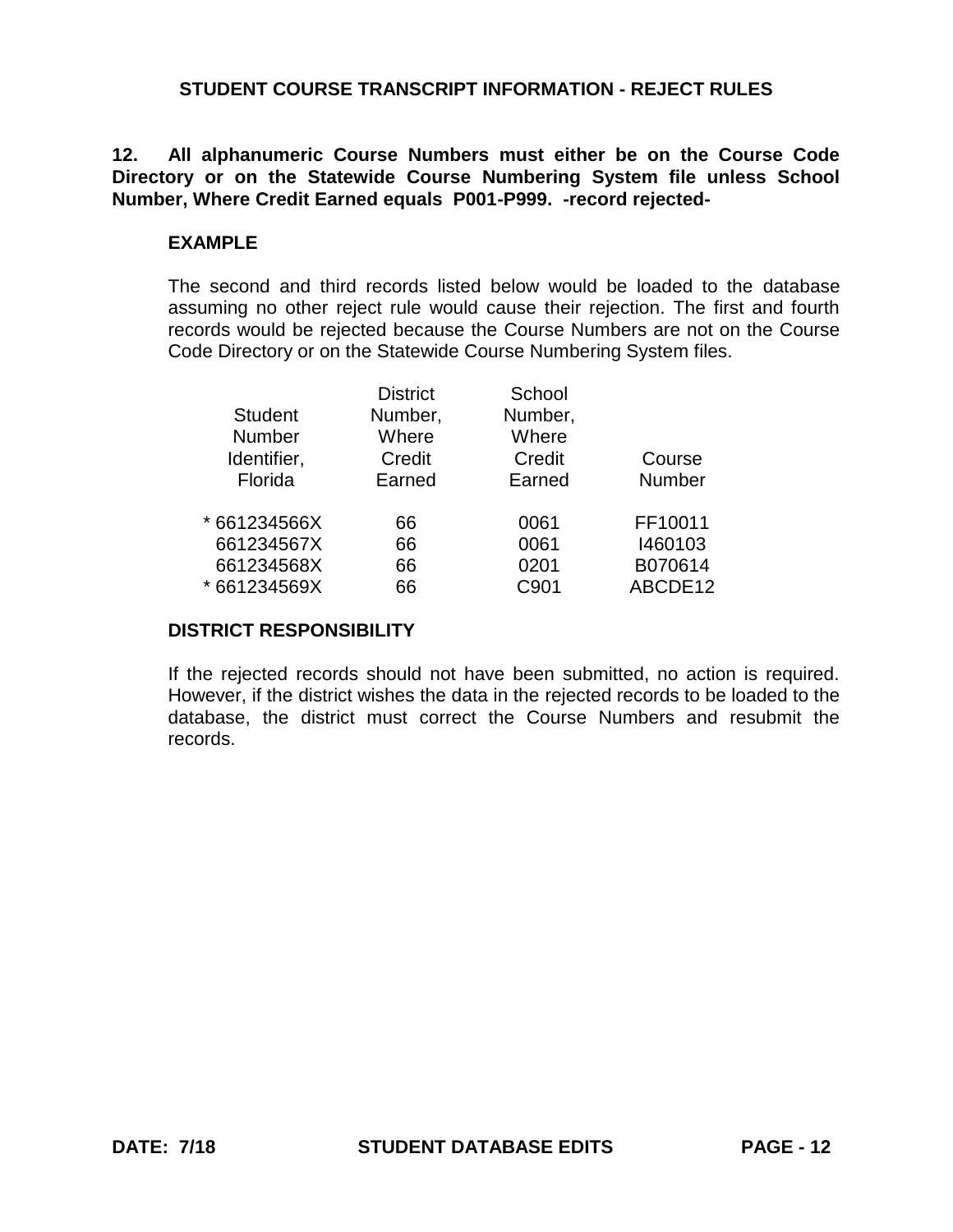## **12. All alphanumeric Course Numbers must either be on the Course Code Directory or on the Statewide Course Numbering System file unless School Number, Where Credit Earned equals P001-P999. -record rejected-**

### **EXAMPLE**

The second and third records listed below would be loaded to the database assuming no other reject rule would cause their rejection. The first and fourth records would be rejected because the Course Numbers are not on the Course Code Directory or on the Statewide Course Numbering System files.

|                | <b>District</b> | School  |               |
|----------------|-----------------|---------|---------------|
| <b>Student</b> | Number,         | Number, |               |
| <b>Number</b>  | Where           | Where   |               |
| Identifier,    | Credit          | Credit  | Course        |
| Florida        | Earned          | Earned  | <b>Number</b> |
| * 661234566X   | 66              | 0061    | FF10011       |
| 661234567X     | 66              | 0061    | 1460103       |
| 661234568X     | 66              | 0201    | B070614       |
| * 661234569X   | 66              | C901    | ABCDE12       |
|                |                 |         |               |

#### **DISTRICT RESPONSIBILITY**

If the rejected records should not have been submitted, no action is required. However, if the district wishes the data in the rejected records to be loaded to the database, the district must correct the Course Numbers and resubmit the records.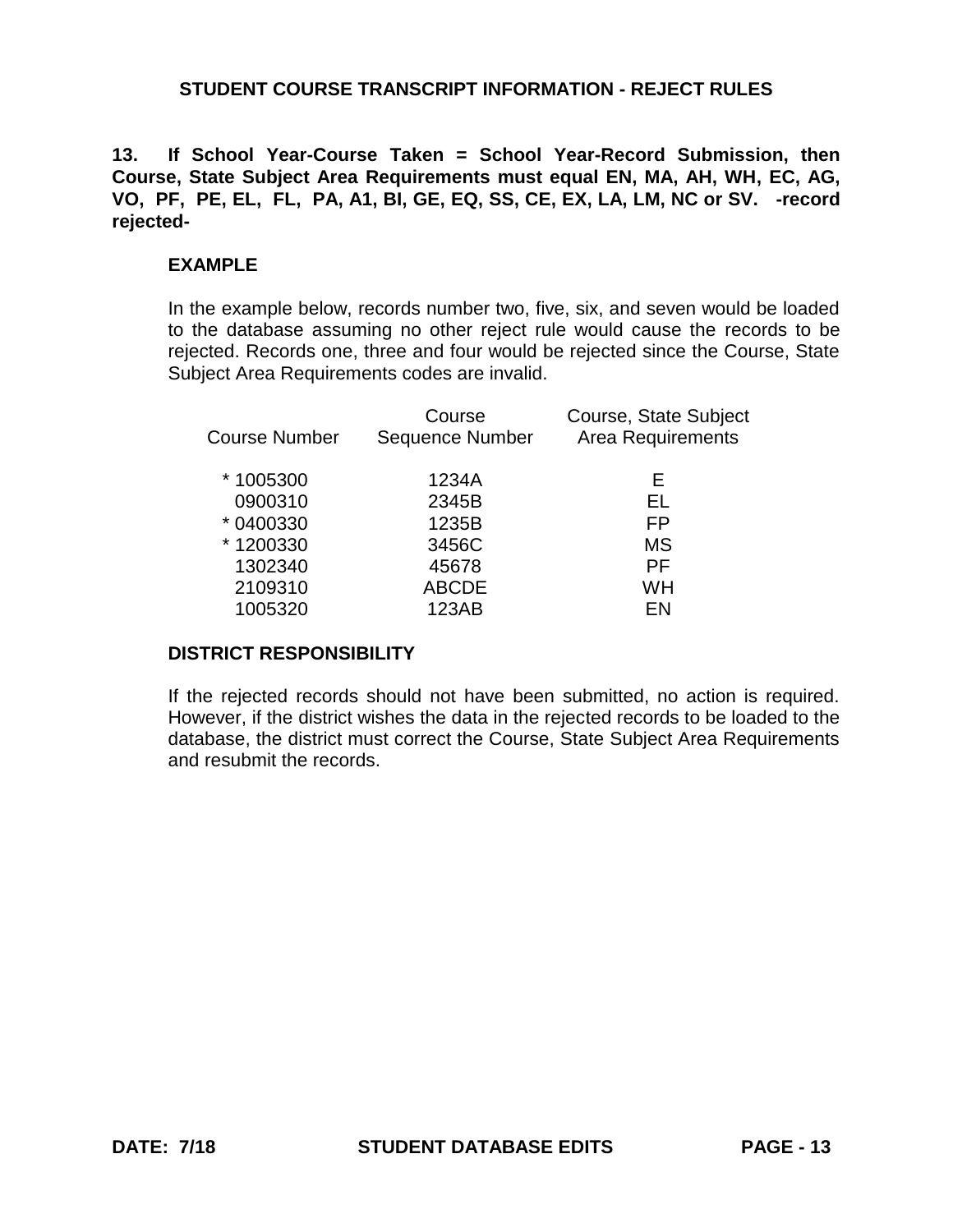**13. If School Year-Course Taken = School Year-Record Submission, then Course, State Subject Area Requirements must equal EN, MA, AH, WH, EC, AG, VO, PF, PE, EL, FL, PA, A1, BI, GE, EQ, SS, CE, EX, LA, LM, NC or SV. -record rejected-**

### **EXAMPLE**

In the example below, records number two, five, six, and seven would be loaded to the database assuming no other reject rule would cause the records to be rejected. Records one, three and four would be rejected since the Course, State Subject Area Requirements codes are invalid.

| Course Number | Course<br><b>Sequence Number</b> | Course, State Subject<br><b>Area Requirements</b> |
|---------------|----------------------------------|---------------------------------------------------|
| *1005300      | 1234A                            | Е                                                 |
| 0900310       | 2345B                            | EL                                                |
| * 0400330     | 1235B                            | FP                                                |
| *1200330      | 3456C                            | МS                                                |
| 1302340       | 45678                            | РF                                                |
| 2109310       | <b>ABCDE</b>                     | WH                                                |
| 1005320       | 123AB                            | FN                                                |
|               |                                  |                                                   |

#### **DISTRICT RESPONSIBILITY**

If the rejected records should not have been submitted, no action is required. However, if the district wishes the data in the rejected records to be loaded to the database, the district must correct the Course, State Subject Area Requirements and resubmit the records.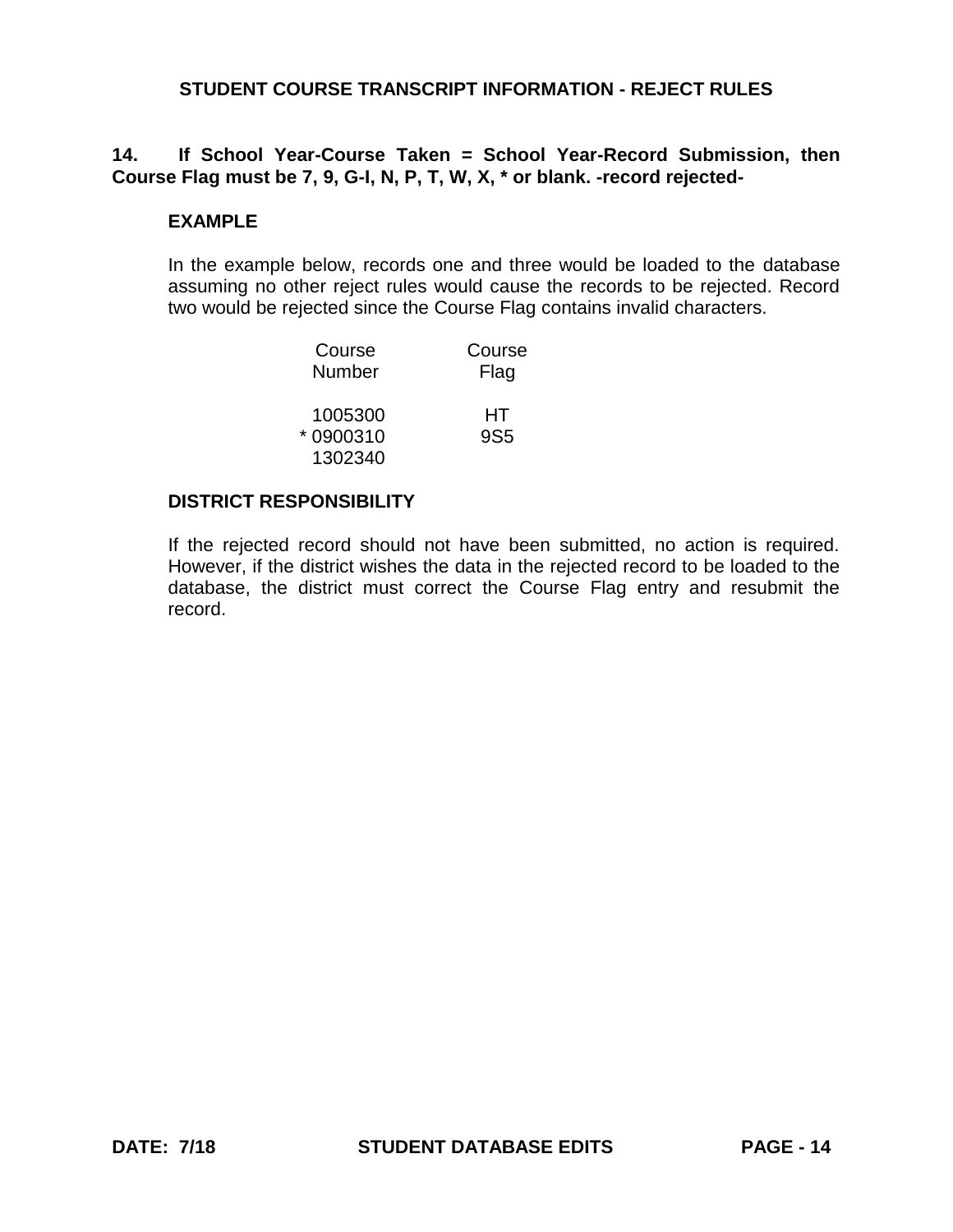# **14. If School Year-Course Taken = School Year-Record Submission, then Course Flag must be 7, 9, G-I, N, P, T, W, X, \* or blank. -record rejected-**

### **EXAMPLE**

In the example below, records one and three would be loaded to the database assuming no other reject rules would cause the records to be rejected. Record two would be rejected since the Course Flag contains invalid characters.

| Course   | Course          |
|----------|-----------------|
| Number   | Flag            |
| 1005300  | HТ              |
| *0900310 | 9S <sub>5</sub> |
| 1302340  |                 |

#### **DISTRICT RESPONSIBILITY**

If the rejected record should not have been submitted, no action is required. However, if the district wishes the data in the rejected record to be loaded to the database, the district must correct the Course Flag entry and resubmit the record.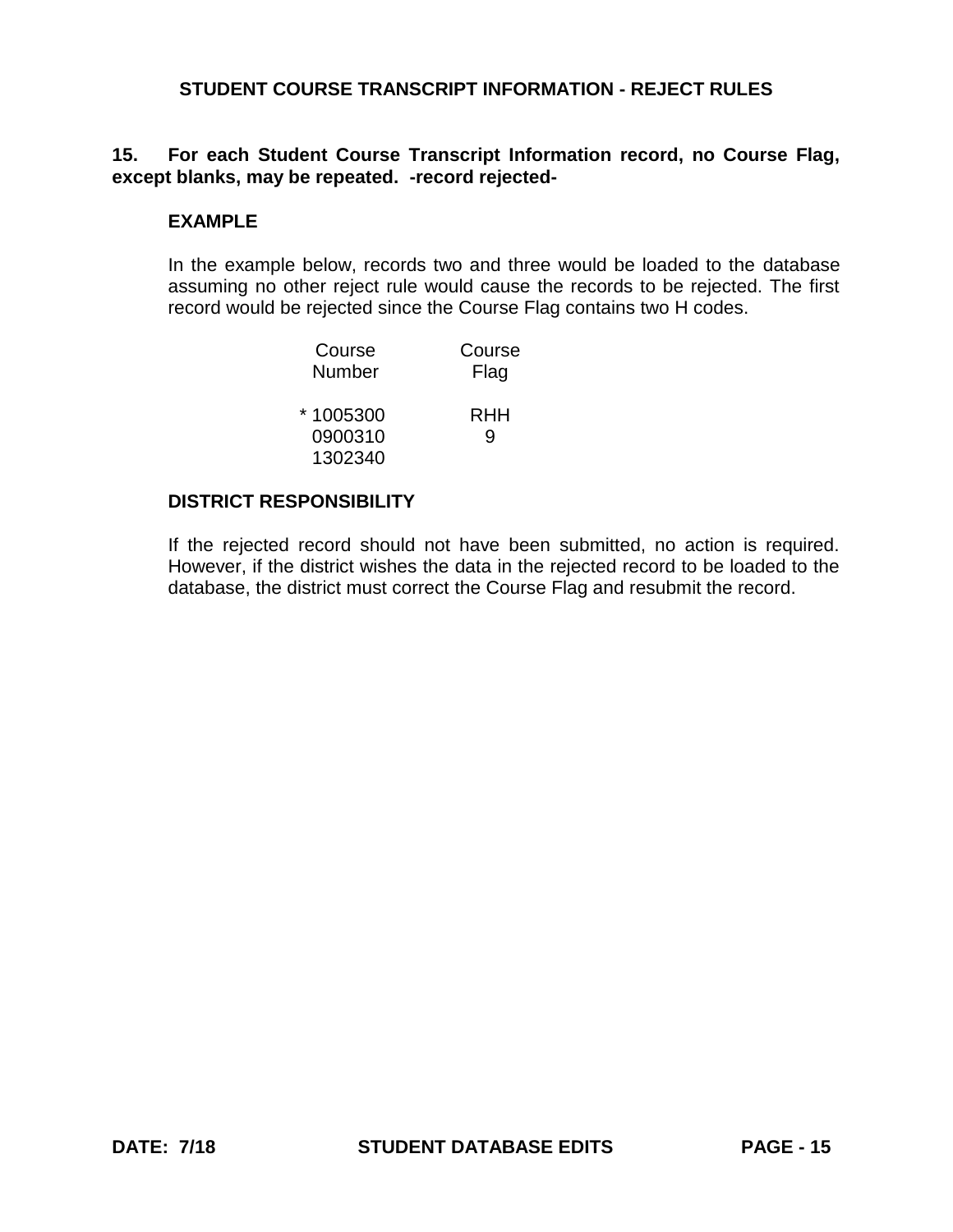# **15. For each Student Course Transcript Information record, no Course Flag, except blanks, may be repeated. -record rejected-**

### **EXAMPLE**

In the example below, records two and three would be loaded to the database assuming no other reject rule would cause the records to be rejected. The first record would be rejected since the Course Flag contains two H codes.

| Course    | Course |
|-----------|--------|
| Number    | Flag   |
| * 1005300 | RHH    |
| 0900310   | q      |
| 1302340   |        |

#### **DISTRICT RESPONSIBILITY**

If the rejected record should not have been submitted, no action is required. However, if the district wishes the data in the rejected record to be loaded to the database, the district must correct the Course Flag and resubmit the record.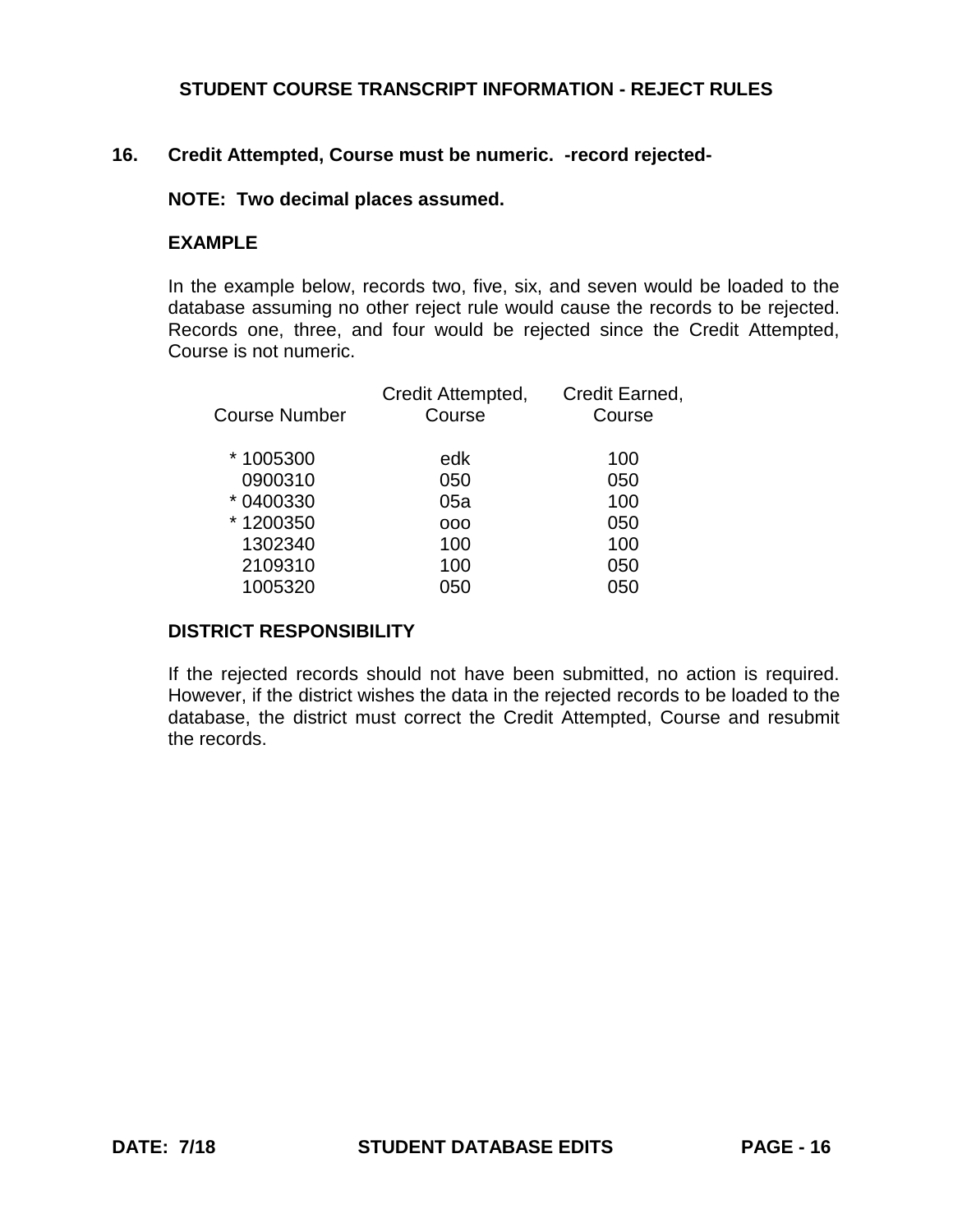### **16. Credit Attempted, Course must be numeric. -record rejected-**

#### **NOTE: Two decimal places assumed.**

### **EXAMPLE**

In the example below, records two, five, six, and seven would be loaded to the database assuming no other reject rule would cause the records to be rejected. Records one, three, and four would be rejected since the Credit Attempted, Course is not numeric.

| <b>Course Number</b> | Credit Attempted,<br>Course | Credit Earned,<br>Course |
|----------------------|-----------------------------|--------------------------|
| *1005300             | edk                         | 100                      |
| 0900310              | 050                         | 050                      |
| * 0400330            | 05a                         | 100                      |
| *1200350             | 000                         | 050                      |
| 1302340              | 100                         | 100                      |
| 2109310              | 100                         | 050                      |
| 1005320              | 050                         | 050                      |
|                      |                             |                          |

#### **DISTRICT RESPONSIBILITY**

If the rejected records should not have been submitted, no action is required. However, if the district wishes the data in the rejected records to be loaded to the database, the district must correct the Credit Attempted, Course and resubmit the records.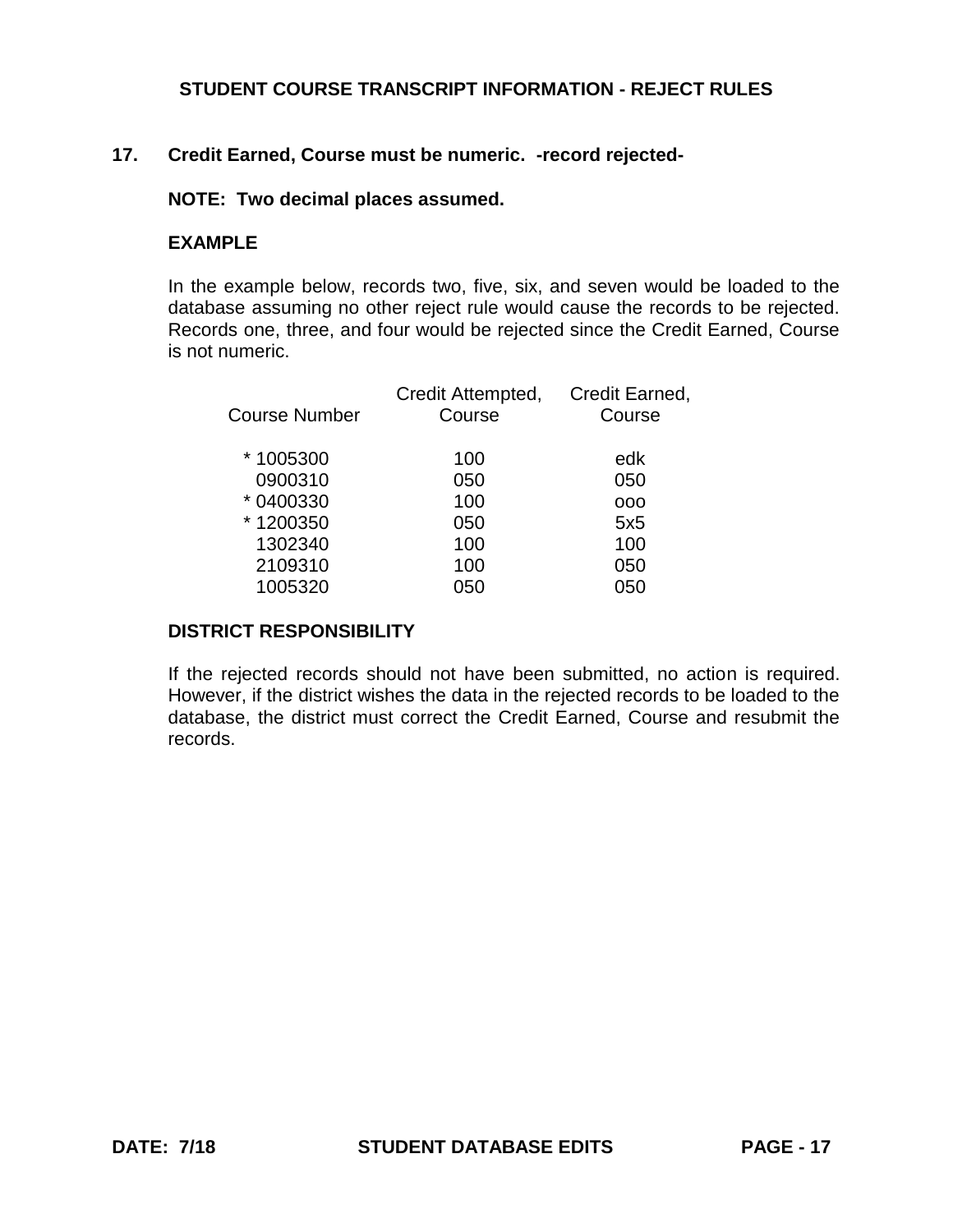# **17. Credit Earned, Course must be numeric. -record rejected-**

### **NOTE: Two decimal places assumed.**

### **EXAMPLE**

In the example below, records two, five, six, and seven would be loaded to the database assuming no other reject rule would cause the records to be rejected. Records one, three, and four would be rejected since the Credit Earned, Course is not numeric.

| <b>Course Number</b> | Credit Attempted,<br>Course | Credit Earned,<br>Course |
|----------------------|-----------------------------|--------------------------|
| *1005300             | 100                         | edk                      |
| 0900310              | 050                         | 050                      |
| * 0400330            | 100                         | 000                      |
| *1200350             | 050                         | 5x5                      |
| 1302340              | 100                         | 100                      |
| 2109310              | 100                         | 050                      |
| 1005320              | 050                         | กรก                      |

# **DISTRICT RESPONSIBILITY**

If the rejected records should not have been submitted, no action is required. However, if the district wishes the data in the rejected records to be loaded to the database, the district must correct the Credit Earned, Course and resubmit the records.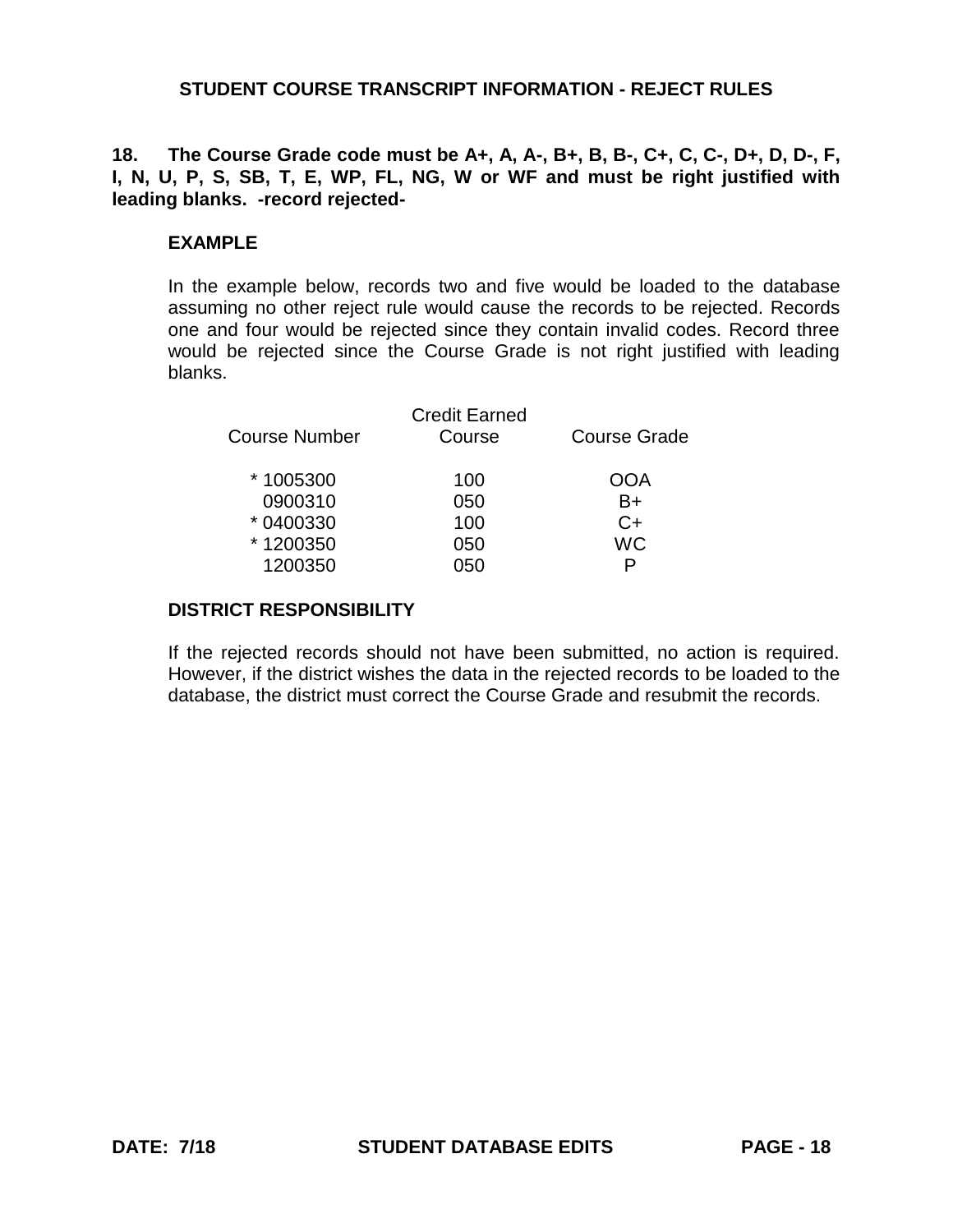### **18. The Course Grade code must be A+, A, A-, B+, B, B-, C+, C, C-, D+, D, D-, F, I, N, U, P, S, SB, T, E, WP, FL, NG, W or WF and must be right justified with leading blanks. -record rejected-**

### **EXAMPLE**

In the example below, records two and five would be loaded to the database assuming no other reject rule would cause the records to be rejected. Records one and four would be rejected since they contain invalid codes. Record three would be rejected since the Course Grade is not right justified with leading blanks.

| <b>Course Number</b> | <b>Credit Earned</b><br>Course | <b>Course Grade</b> |
|----------------------|--------------------------------|---------------------|
| *1005300             | 100                            | OOA                 |
| 0900310              | 050                            | B+                  |
| * 0400330            | 100                            | C+                  |
| *1200350             | 050                            | WC                  |
| 1200350              | 050                            |                     |
|                      |                                |                     |

### **DISTRICT RESPONSIBILITY**

If the rejected records should not have been submitted, no action is required. However, if the district wishes the data in the rejected records to be loaded to the database, the district must correct the Course Grade and resubmit the records.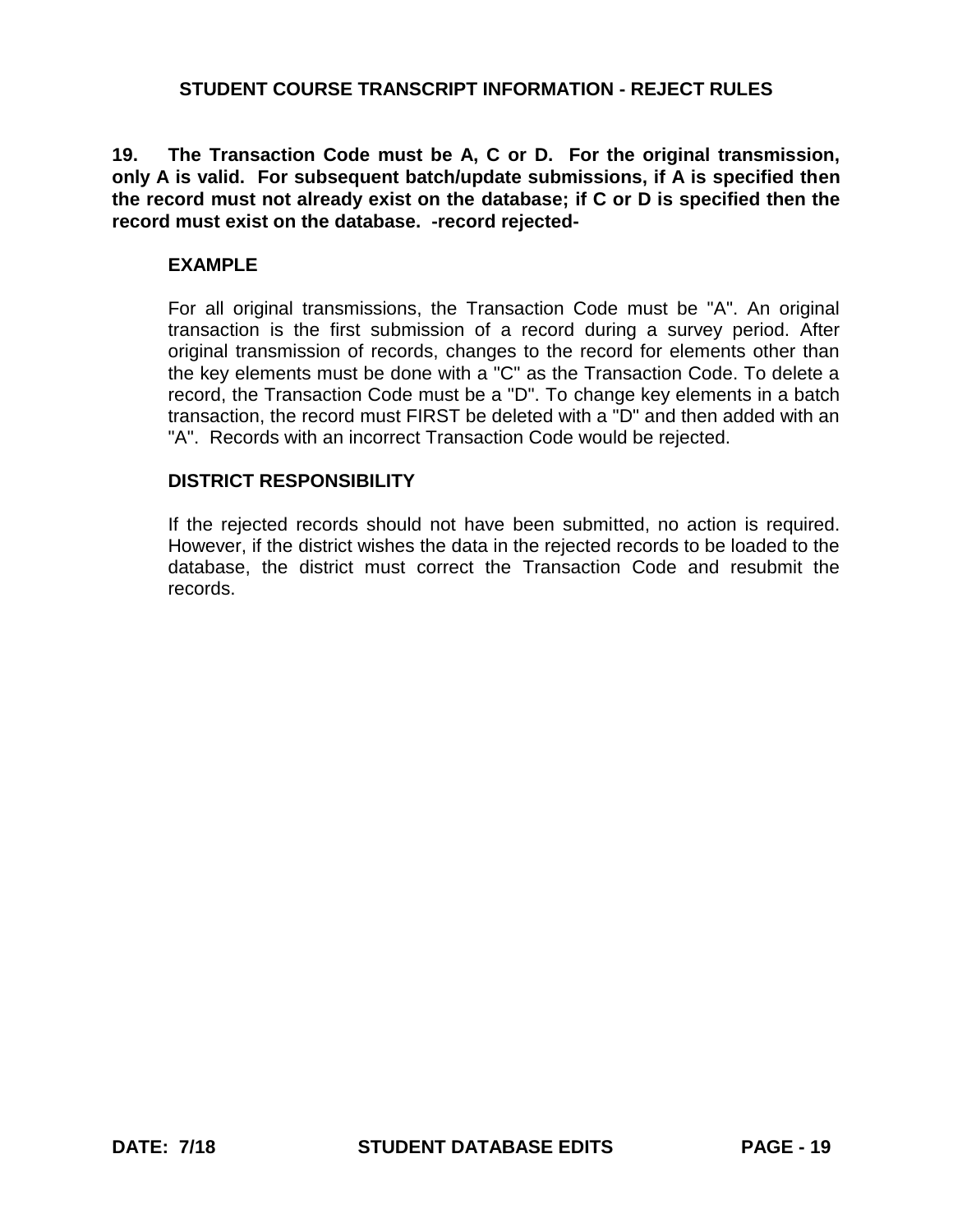**19. The Transaction Code must be A, C or D. For the original transmission, only A is valid. For subsequent batch/update submissions, if A is specified then the record must not already exist on the database; if C or D is specified then the record must exist on the database. -record rejected-**

### **EXAMPLE**

For all original transmissions, the Transaction Code must be "A". An original transaction is the first submission of a record during a survey period. After original transmission of records, changes to the record for elements other than the key elements must be done with a "C" as the Transaction Code. To delete a record, the Transaction Code must be a "D". To change key elements in a batch transaction, the record must FIRST be deleted with a "D" and then added with an "A". Records with an incorrect Transaction Code would be rejected.

### **DISTRICT RESPONSIBILITY**

If the rejected records should not have been submitted, no action is required. However, if the district wishes the data in the rejected records to be loaded to the database, the district must correct the Transaction Code and resubmit the records.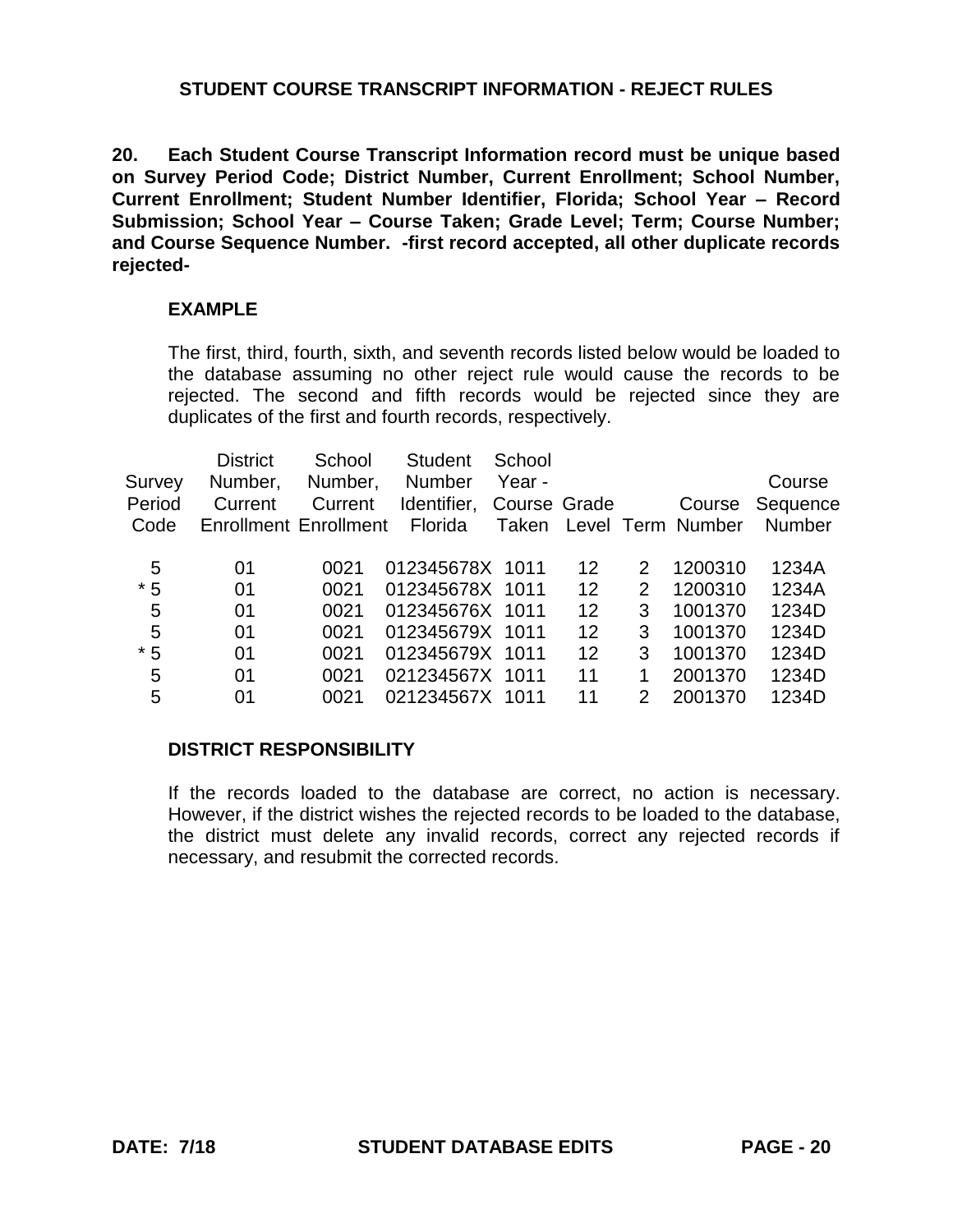**20. Each Student Course Transcript Information record must be unique based on Survey Period Code; District Number, Current Enrollment; School Number, Current Enrollment; Student Number Identifier, Florida; School Year – Record Submission; School Year – Course Taken; Grade Level; Term; Course Number; and Course Sequence Number. -first record accepted, all other duplicate records rejected-**

### **EXAMPLE**

The first, third, fourth, sixth, and seventh records listed below would be loaded to the database assuming no other reject rule would cause the records to be rejected. The second and fifth records would be rejected since they are duplicates of the first and fourth records, respectively.

| Survey<br>Period<br>Code | <b>District</b><br>Number,<br>Current<br><b>Enrollment Enrollment</b> | School<br>Number,<br>Current | <b>Student</b><br><b>Number</b><br>Identifier,<br>Florida | School<br>Year -<br>Course Grade<br>Taken |    |               | Course<br>Level Term Number | Course<br>Sequence<br><b>Number</b> |
|--------------------------|-----------------------------------------------------------------------|------------------------------|-----------------------------------------------------------|-------------------------------------------|----|---------------|-----------------------------|-------------------------------------|
| 5                        | 01                                                                    | 0021                         | 012345678X 1011                                           |                                           | 12 | 2             | 1200310                     | 1234A                               |
| $*5$                     | 01                                                                    | 0021                         | 012345678X 1011                                           |                                           | 12 | 2             | 1200310                     | 1234A                               |
| 5                        | 01                                                                    | 0021                         | 012345676X 1011                                           |                                           | 12 | 3             | 1001370                     | 1234D                               |
| 5                        | 01                                                                    | 0021                         | 012345679X 1011                                           |                                           | 12 | 3             | 1001370                     | 1234D                               |
| $*5$                     | 01                                                                    | 0021                         | 012345679X 1011                                           |                                           | 12 | 3             | 1001370                     | 1234D                               |
| 5                        | 01                                                                    | 0021                         | 021234567X 1011                                           |                                           | 11 | 1             | 2001370                     | 1234D                               |
| 5                        | 01                                                                    | 0021                         | 021234567X 1011                                           |                                           | 11 | $\mathcal{P}$ | 2001370                     | 1234D                               |
|                          |                                                                       |                              |                                                           |                                           |    |               |                             |                                     |

#### **DISTRICT RESPONSIBILITY**

If the records loaded to the database are correct, no action is necessary. However, if the district wishes the rejected records to be loaded to the database, the district must delete any invalid records, correct any rejected records if necessary, and resubmit the corrected records.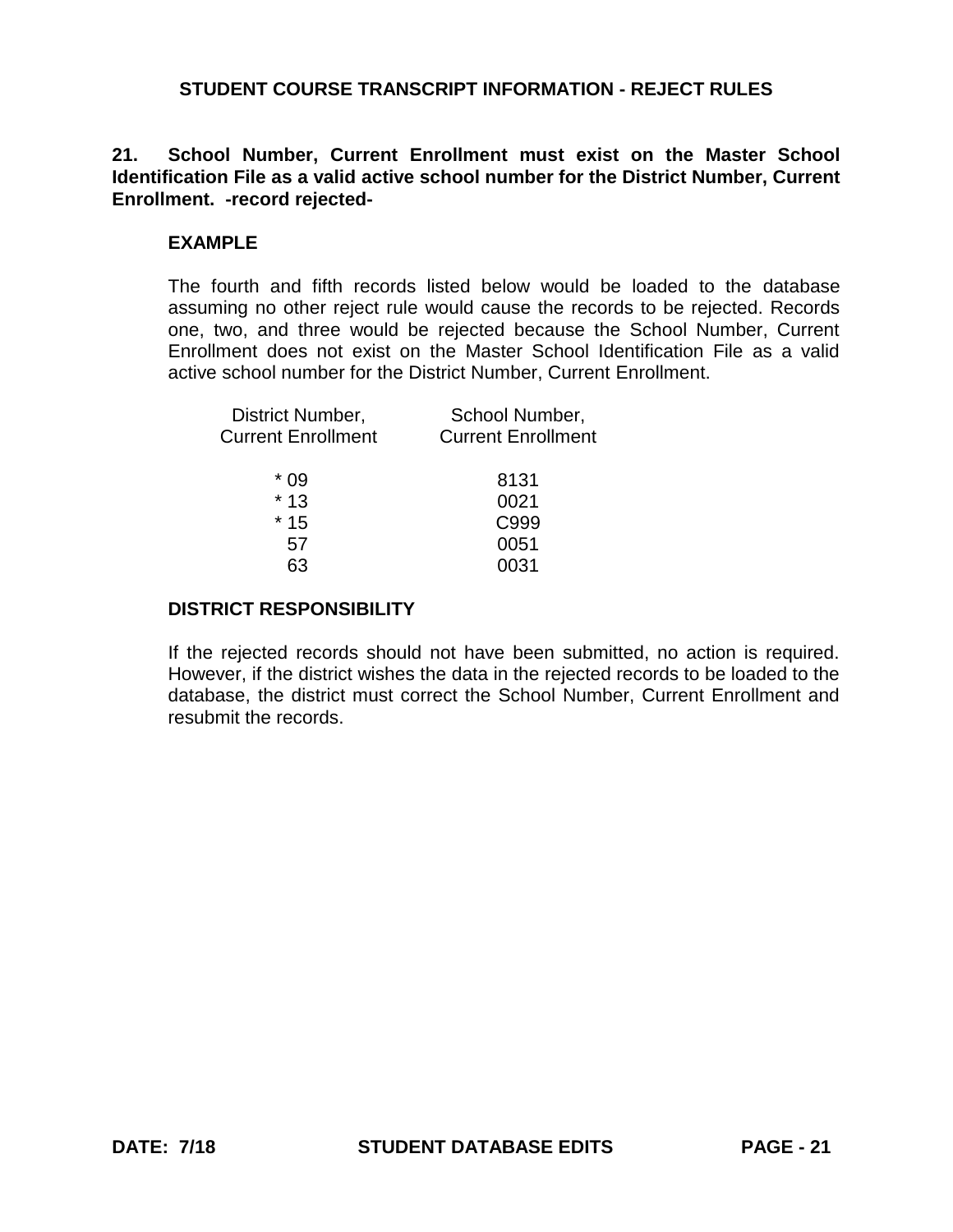## **21. School Number, Current Enrollment must exist on the Master School Identification File as a valid active school number for the District Number, Current Enrollment. -record rejected-**

### **EXAMPLE**

The fourth and fifth records listed below would be loaded to the database assuming no other reject rule would cause the records to be rejected. Records one, two, and three would be rejected because the School Number, Current Enrollment does not exist on the Master School Identification File as a valid active school number for the District Number, Current Enrollment.

| District Number,          | School Number,            |  |  |
|---------------------------|---------------------------|--|--|
| <b>Current Enrollment</b> | <b>Current Enrollment</b> |  |  |
| $*09$                     | 8131                      |  |  |
| $*13$                     | 0021                      |  |  |
| $*15$                     | C999                      |  |  |
| 57                        | 0051                      |  |  |
|                           | 0031                      |  |  |

### **DISTRICT RESPONSIBILITY**

If the rejected records should not have been submitted, no action is required. However, if the district wishes the data in the rejected records to be loaded to the database, the district must correct the School Number, Current Enrollment and resubmit the records.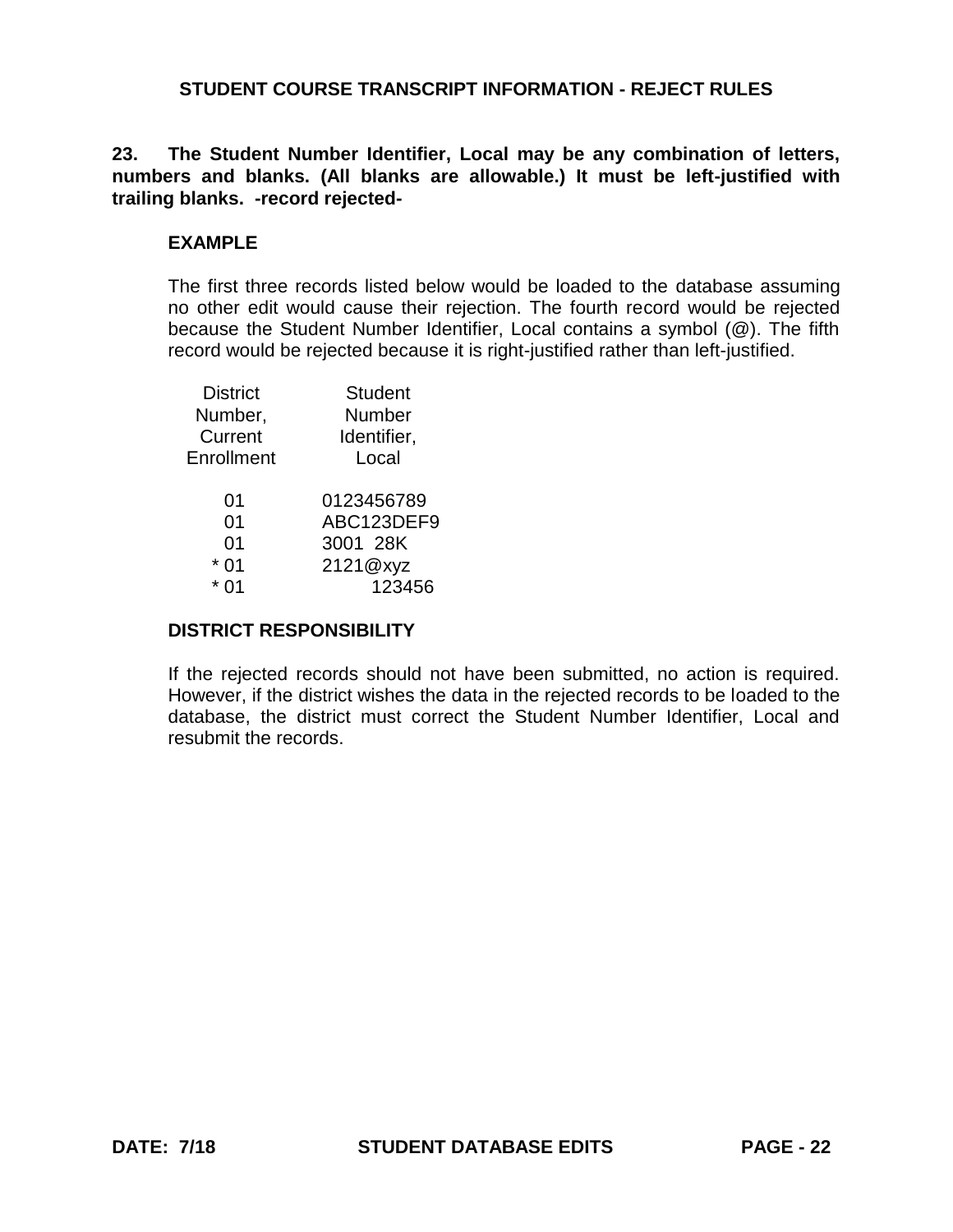**23. The Student Number Identifier, Local may be any combination of letters, numbers and blanks. (All blanks are allowable.) It must be left-justified with trailing blanks. -record rejected-**

### **EXAMPLE**

The first three records listed below would be loaded to the database assuming no other edit would cause their rejection. The fourth record would be rejected because the Student Number Identifier, Local contains a symbol (@). The fifth record would be rejected because it is right-justified rather than left-justified.

| <b>District</b> | <b>Student</b> |
|-----------------|----------------|
| Number,         | Number         |
| Current         | Identifier,    |
| Enrollment      | Local          |
| 01              | 0123456789     |
| 0 <sub>1</sub>  | ABC123DEF9     |
| 01              | 3001 28K       |
| 01              | 2121@xyz       |
|                 | 123456         |
|                 |                |

#### **DISTRICT RESPONSIBILITY**

If the rejected records should not have been submitted, no action is required. However, if the district wishes the data in the rejected records to be loaded to the database, the district must correct the Student Number Identifier, Local and resubmit the records.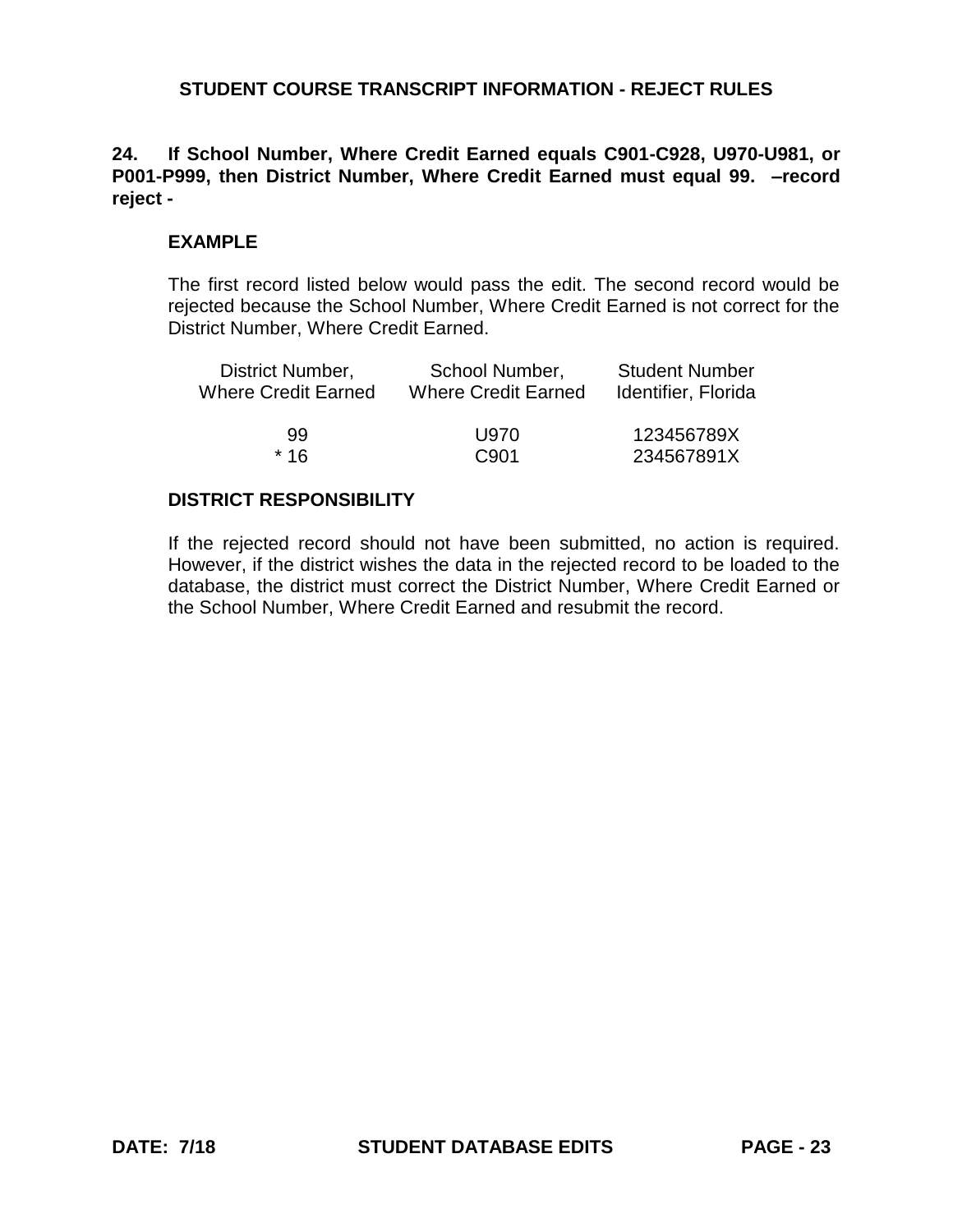# **24. If School Number, Where Credit Earned equals C901-C928, U970-U981, or P001-P999, then District Number, Where Credit Earned must equal 99. –record reject -**

# **EXAMPLE**

The first record listed below would pass the edit. The second record would be rejected because the School Number, Where Credit Earned is not correct for the District Number, Where Credit Earned.

| District Number,    | School Number,             | <b>Student Number</b> |  |
|---------------------|----------------------------|-----------------------|--|
| Where Credit Earned | <b>Where Credit Earned</b> | Identifier, Florida   |  |
| 99                  | U970                       | 123456789X            |  |
| $*16$               | C <sub>901</sub>           | 234567891X            |  |

# **DISTRICT RESPONSIBILITY**

If the rejected record should not have been submitted, no action is required. However, if the district wishes the data in the rejected record to be loaded to the database, the district must correct the District Number, Where Credit Earned or the School Number, Where Credit Earned and resubmit the record.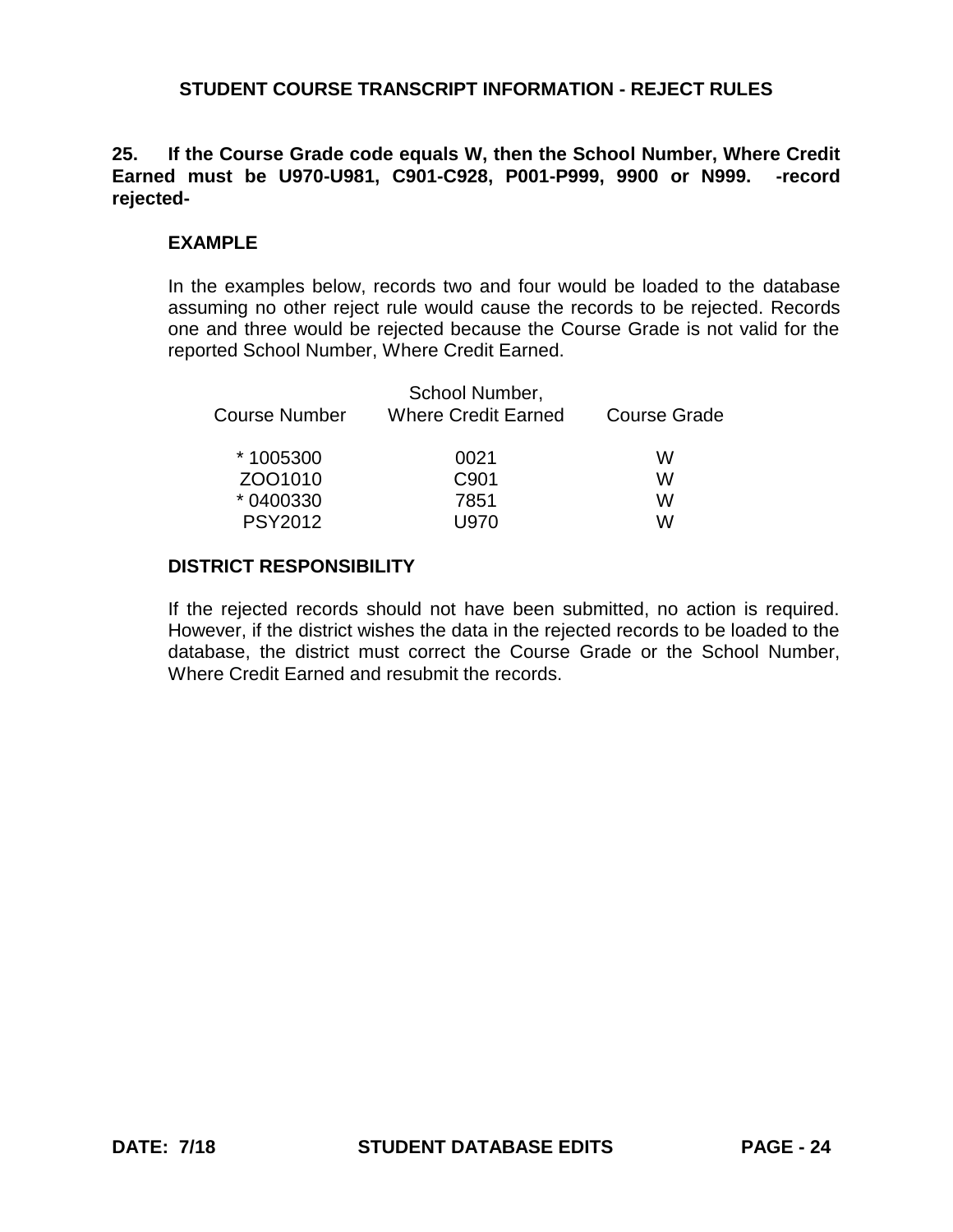## **25. If the Course Grade code equals W, then the School Number, Where Credit Earned must be U970-U981, C901-C928, P001-P999, 9900 or N999. -record rejected-**

### **EXAMPLE**

In the examples below, records two and four would be loaded to the database assuming no other reject rule would cause the records to be rejected. Records one and three would be rejected because the Course Grade is not valid for the reported School Number, Where Credit Earned.

| School Number,<br><b>Where Credit Earned</b> | <b>Course Grade</b> |  |
|----------------------------------------------|---------------------|--|
| 0021                                         | w                   |  |
| C <sub>901</sub>                             | W                   |  |
| 7851                                         | w                   |  |
| U970                                         | w                   |  |
|                                              |                     |  |

### **DISTRICT RESPONSIBILITY**

If the rejected records should not have been submitted, no action is required. However, if the district wishes the data in the rejected records to be loaded to the database, the district must correct the Course Grade or the School Number, Where Credit Earned and resubmit the records.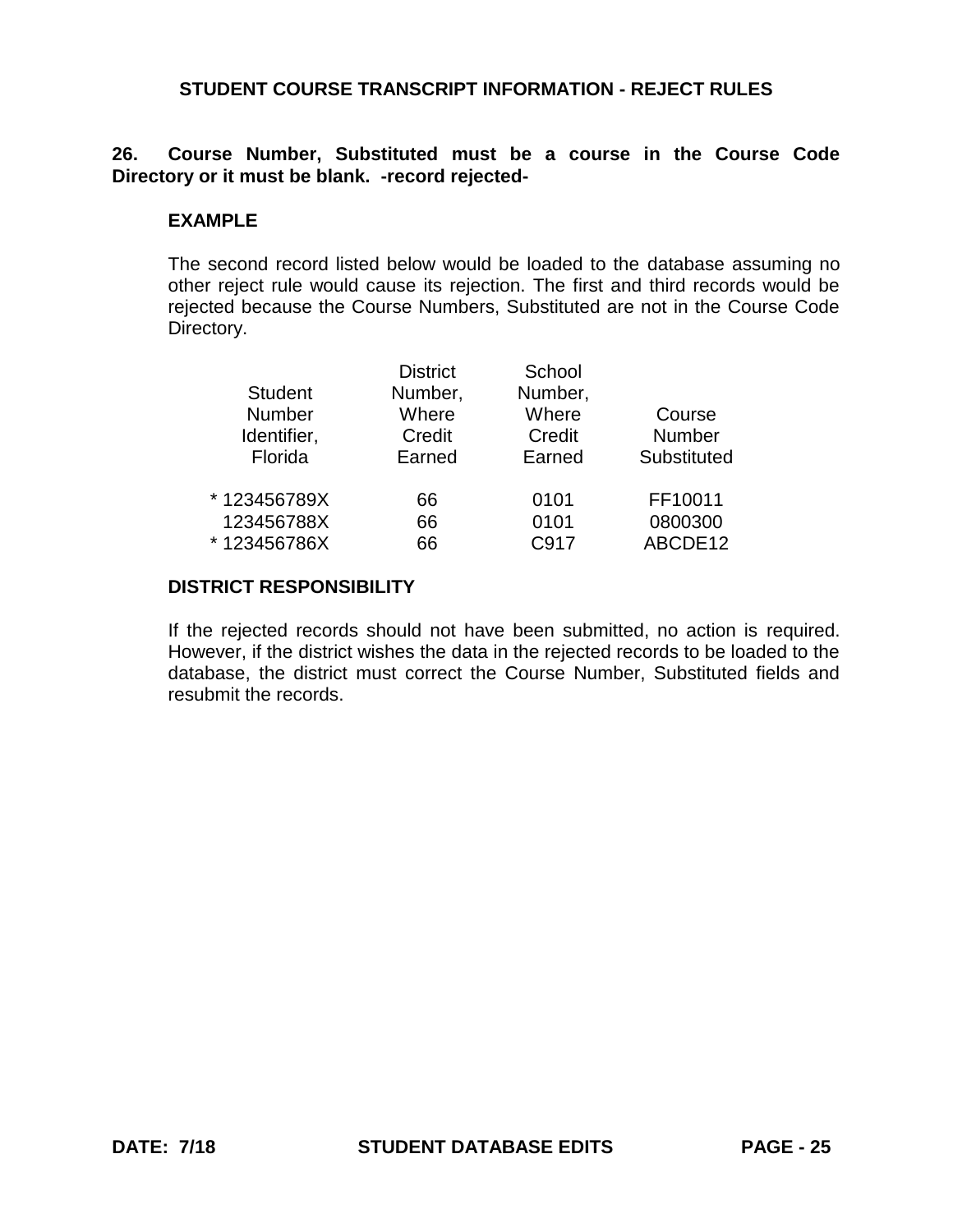# **26. Course Number, Substituted must be a course in the Course Code Directory or it must be blank. -record rejected-**

### **EXAMPLE**

The second record listed below would be loaded to the database assuming no other reject rule would cause its rejection. The first and third records would be rejected because the Course Numbers, Substituted are not in the Course Code Directory.

|                | <b>District</b> | School  |             |
|----------------|-----------------|---------|-------------|
| <b>Student</b> | Number,         | Number, |             |
| Number         | Where           | Where   | Course      |
| Identifier,    | Credit          | Credit  | Number      |
| Florida        | Earned          | Earned  | Substituted |
| * 123456789X   | 66              | 0101    | FF10011     |
| 123456788X     | 66              | 0101    | 0800300     |
| *123456786X    | 66              | C917    | ABCDE12     |
|                |                 |         |             |

### **DISTRICT RESPONSIBILITY**

If the rejected records should not have been submitted, no action is required. However, if the district wishes the data in the rejected records to be loaded to the database, the district must correct the Course Number, Substituted fields and resubmit the records.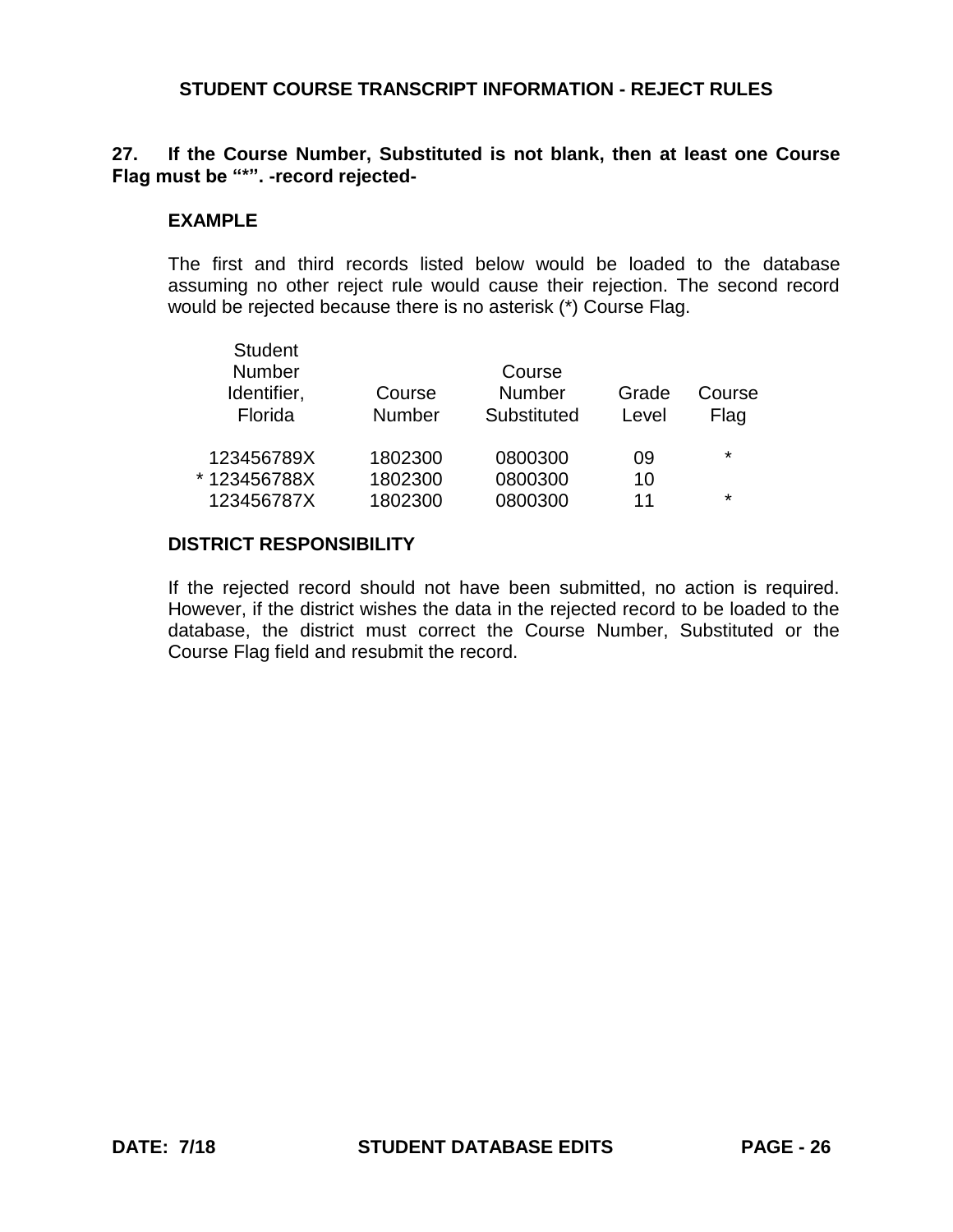### **27. If the Course Number, Substituted is not blank, then at least one Course Flag must be "\*". -record rejected-**

#### **EXAMPLE**

The first and third records listed below would be loaded to the database assuming no other reject rule would cause their rejection. The second record would be rejected because there is no asterisk (\*) Course Flag.

| <b>Student</b><br>Number<br>Identifier,<br>Florida | Course<br><b>Number</b> | Course<br><b>Number</b><br>Substituted | Grade<br>Level | Course<br>Flag |
|----------------------------------------------------|-------------------------|----------------------------------------|----------------|----------------|
| 123456789X                                         | 1802300                 | 0800300                                | 09             | $\star$        |
| *123456788X                                        | 1802300                 | 0800300                                | 10             |                |
| 123456787X                                         | 1802300                 | 0800300                                | 11             | $\star$        |

#### **DISTRICT RESPONSIBILITY**

If the rejected record should not have been submitted, no action is required. However, if the district wishes the data in the rejected record to be loaded to the database, the district must correct the Course Number, Substituted or the Course Flag field and resubmit the record.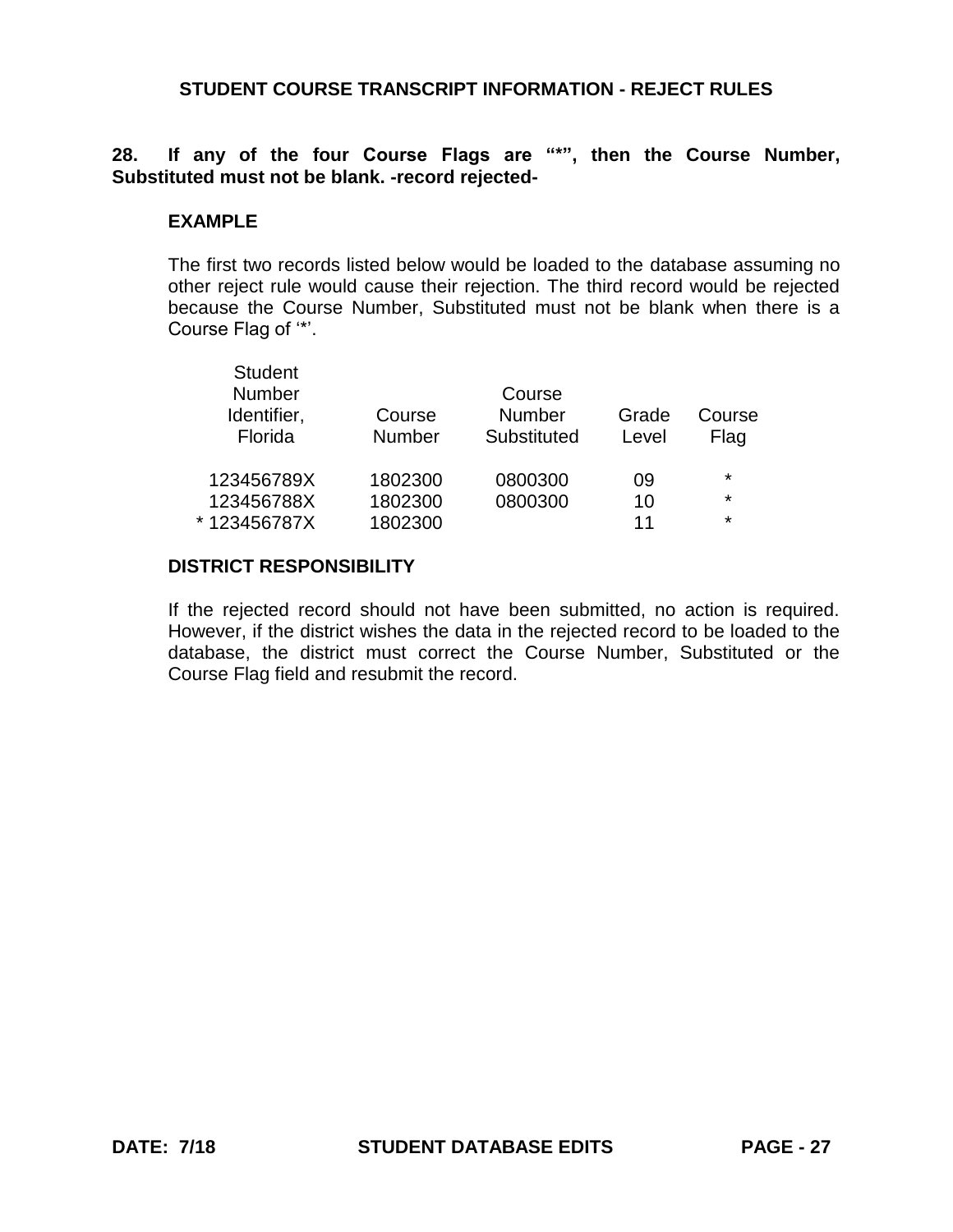**28. If any of the four Course Flags are "\*", then the Course Number, Substituted must not be blank. -record rejected-**

#### **EXAMPLE**

The first two records listed below would be loaded to the database assuming no other reject rule would cause their rejection. The third record would be rejected because the Course Number, Substituted must not be blank when there is a Course Flag of '\*'.

| <b>Student</b><br><b>Number</b><br>Identifier,<br>Florida | Course<br><b>Number</b> | Course<br><b>Number</b><br>Substituted | Grade<br>Level | Course<br>Flag |
|-----------------------------------------------------------|-------------------------|----------------------------------------|----------------|----------------|
| 123456789X                                                | 1802300                 | 0800300                                | 09             | $\star$        |
| 123456788X                                                | 1802300                 | 0800300                                | 10             | $\star$        |
| *123456787X                                               | 1802300                 |                                        | 11             | $\star$        |

### **DISTRICT RESPONSIBILITY**

If the rejected record should not have been submitted, no action is required. However, if the district wishes the data in the rejected record to be loaded to the database, the district must correct the Course Number, Substituted or the Course Flag field and resubmit the record.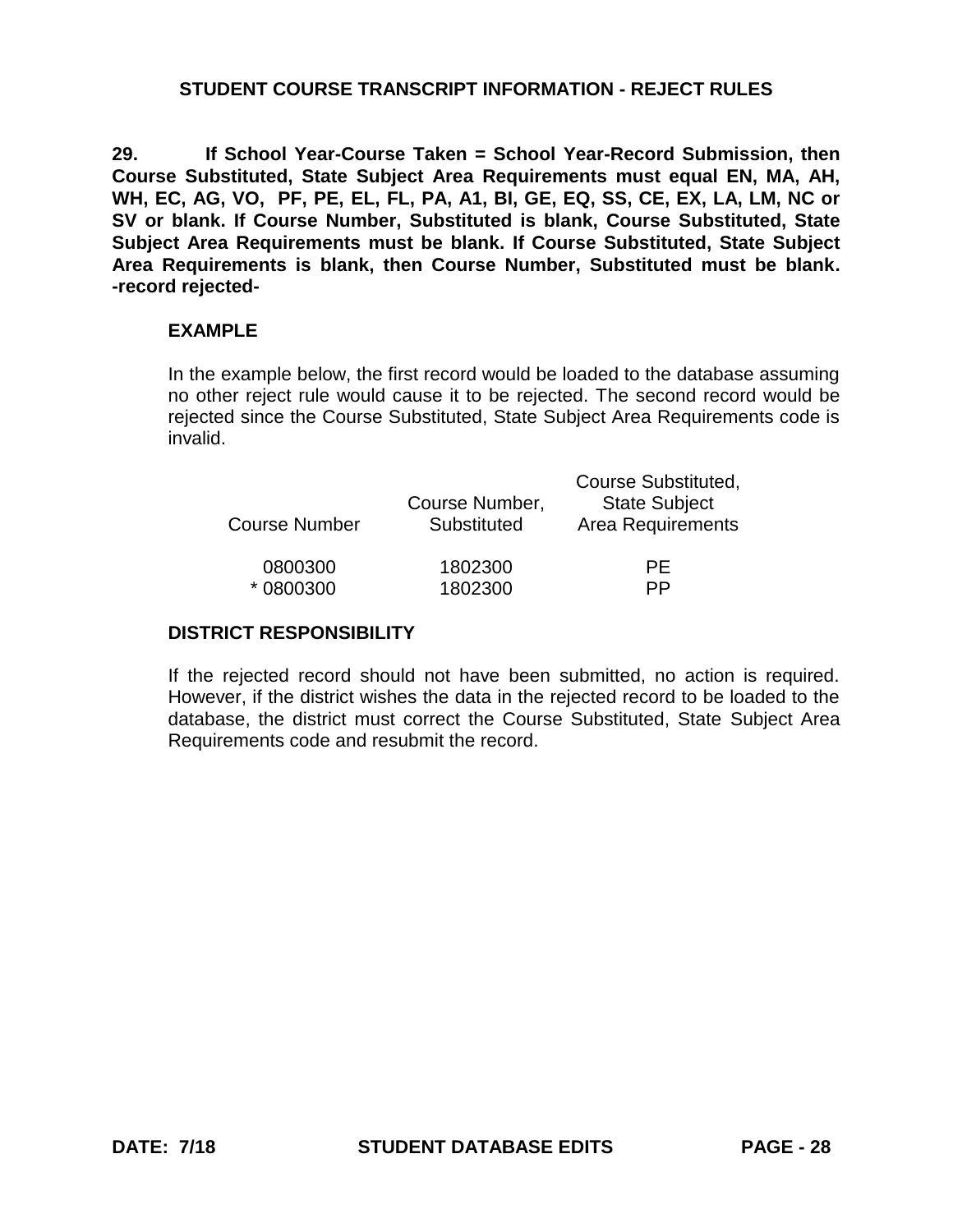**29. If School Year-Course Taken = School Year-Record Submission, then Course Substituted, State Subject Area Requirements must equal EN, MA, AH, WH, EC, AG, VO, PF, PE, EL, FL, PA, A1, BI, GE, EQ, SS, CE, EX, LA, LM, NC or SV or blank. If Course Number, Substituted is blank, Course Substituted, State Subject Area Requirements must be blank. If Course Substituted, State Subject Area Requirements is blank, then Course Number, Substituted must be blank. -record rejected-**

### **EXAMPLE**

In the example below, the first record would be loaded to the database assuming no other reject rule would cause it to be rejected. The second record would be rejected since the Course Substituted, State Subject Area Requirements code is invalid.

| <b>Course Number</b> | Course Number,<br>Substituted | Course Substituted,<br><b>State Subject</b><br><b>Area Requirements</b> |
|----------------------|-------------------------------|-------------------------------------------------------------------------|
| 0800300              | 1802300                       | PF.                                                                     |
| *0800300             | 1802300                       | РP                                                                      |

# **DISTRICT RESPONSIBILITY**

If the rejected record should not have been submitted, no action is required. However, if the district wishes the data in the rejected record to be loaded to the database, the district must correct the Course Substituted, State Subject Area Requirements code and resubmit the record.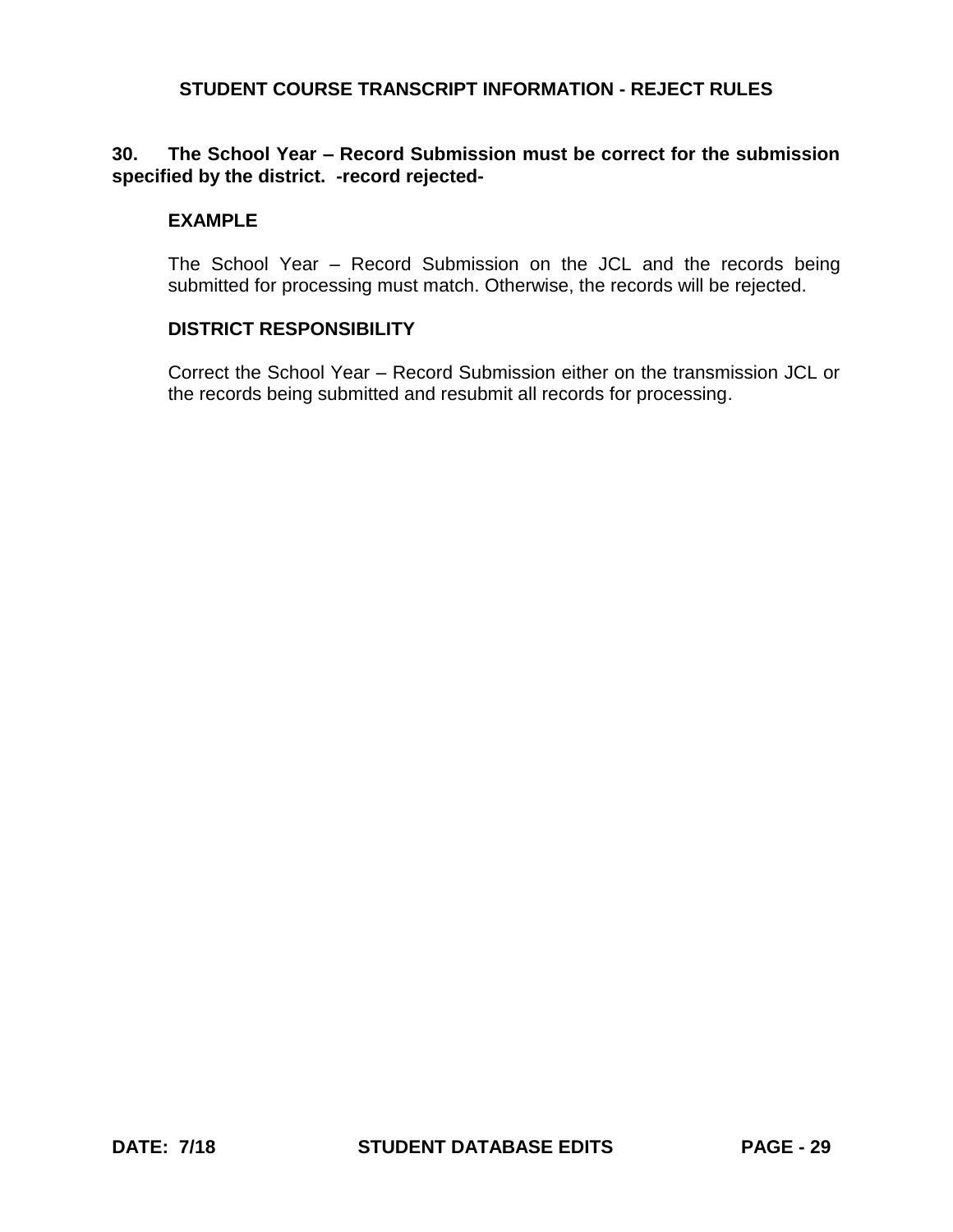# **30. The School Year – Record Submission must be correct for the submission specified by the district. -record rejected-**

### **EXAMPLE**

The School Year – Record Submission on the JCL and the records being submitted for processing must match. Otherwise, the records will be rejected.

# **DISTRICT RESPONSIBILITY**

Correct the School Year – Record Submission either on the transmission JCL or the records being submitted and resubmit all records for processing.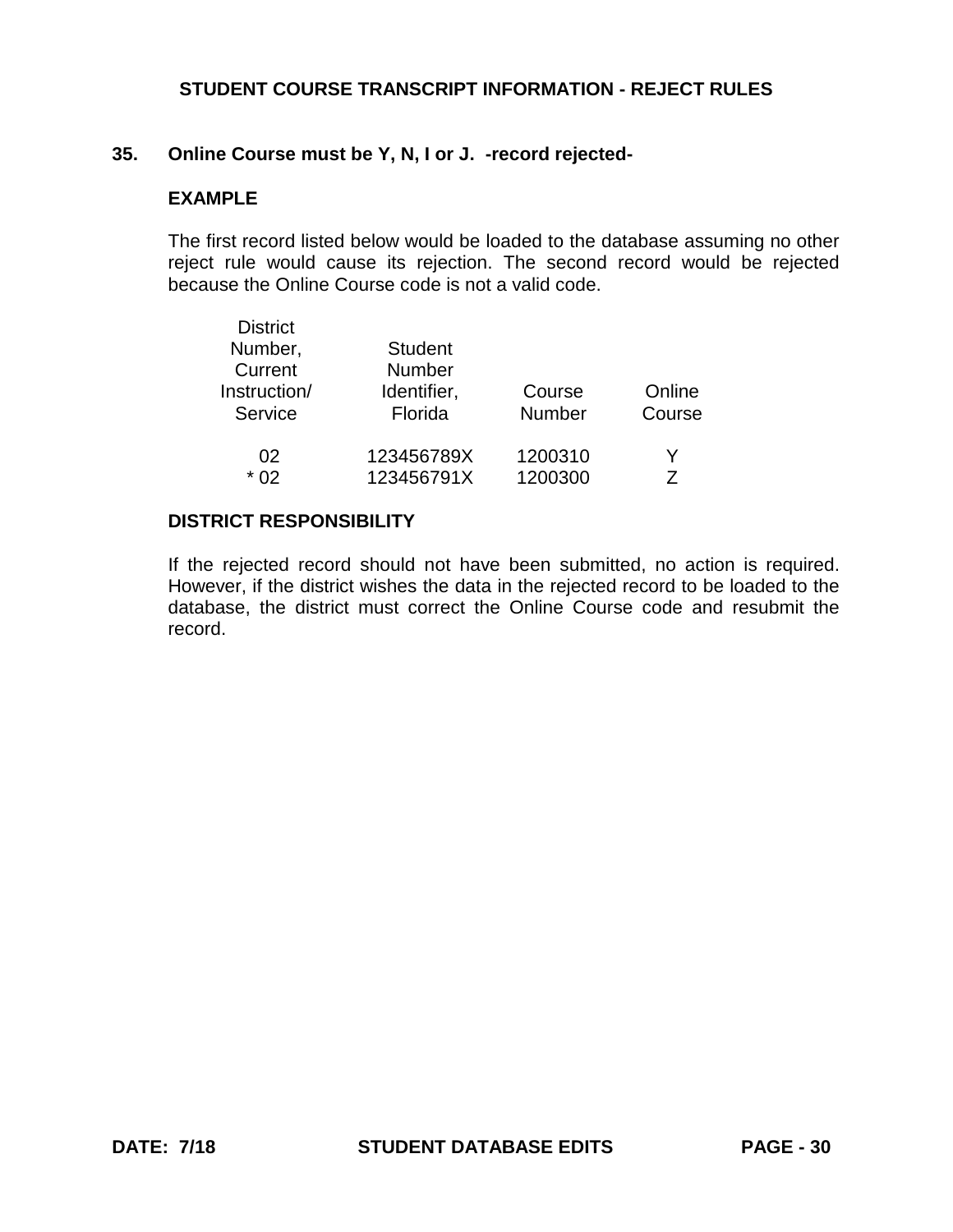### **35. Online Course must be Y, N, I or J. -record rejected-**

### **EXAMPLE**

The first record listed below would be loaded to the database assuming no other reject rule would cause its rejection. The second record would be rejected because the Online Course code is not a valid code.

| <b>District</b> |                |               |        |
|-----------------|----------------|---------------|--------|
| Number,         | <b>Student</b> |               |        |
| Current         | Number         |               |        |
| Instruction/    | Identifier,    | Course        | Online |
| Service         | Florida        | <b>Number</b> | Course |
|                 |                |               |        |
| 02              | 123456789X     | 1200310       | Y      |
| * በ2            | 123456791X     | 1200300       | 7      |
|                 |                |               |        |

#### **DISTRICT RESPONSIBILITY**

If the rejected record should not have been submitted, no action is required. However, if the district wishes the data in the rejected record to be loaded to the database, the district must correct the Online Course code and resubmit the record.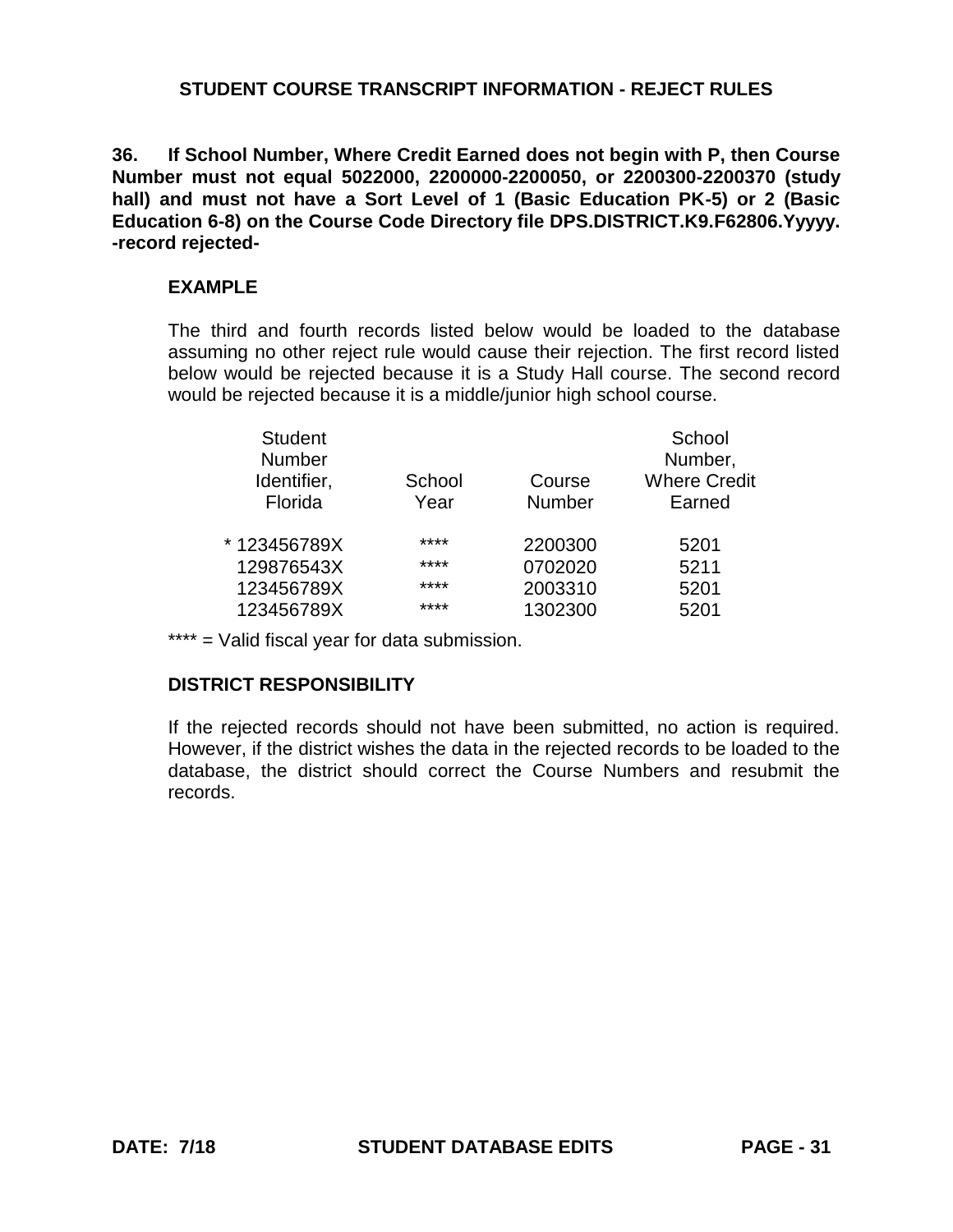**36. If School Number, Where Credit Earned does not begin with P, then Course Number must not equal 5022000, 2200000-2200050, or 2200300-2200370 (study hall) and must not have a Sort Level of 1 (Basic Education PK-5) or 2 (Basic Education 6-8) on the Course Code Directory file DPS.DISTRICT.K9.F62806.Yyyyy. -record rejected-**

### **EXAMPLE**

The third and fourth records listed below would be loaded to the database assuming no other reject rule would cause their rejection. The first record listed below would be rejected because it is a Study Hall course. The second record would be rejected because it is a middle/junior high school course.

| <b>Student</b><br><b>Number</b><br>Identifier,<br>School<br>Course<br>Florida<br>Number<br>Year | School<br>Number,<br><b>Where Credit</b><br>Earned |
|-------------------------------------------------------------------------------------------------|----------------------------------------------------|
| ****<br>*123456789X<br>2200300                                                                  | 5201                                               |
| ****<br>129876543X<br>0702020                                                                   | 5211                                               |
| ****<br>123456789X<br>2003310                                                                   | 5201                                               |
| ****<br>1302300<br>123456789X                                                                   | 5201                                               |

\*\*\*\* = Valid fiscal year for data submission.

# **DISTRICT RESPONSIBILITY**

If the rejected records should not have been submitted, no action is required. However, if the district wishes the data in the rejected records to be loaded to the database, the district should correct the Course Numbers and resubmit the records.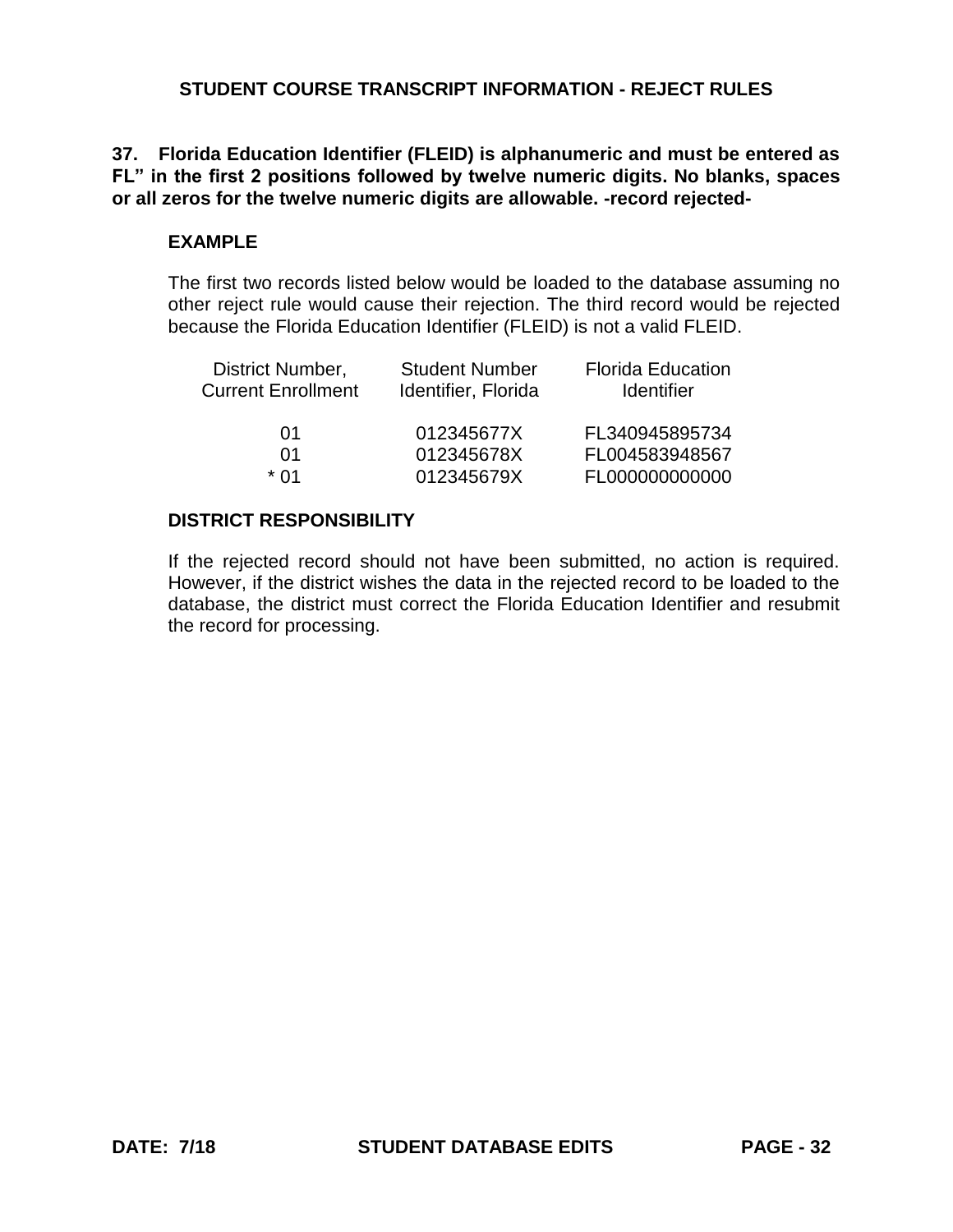# **37. Florida Education Identifier (FLEID) is alphanumeric and must be entered as FL" in the first 2 positions followed by twelve numeric digits. No blanks, spaces or all zeros for the twelve numeric digits are allowable. -record rejected-**

# **EXAMPLE**

The first two records listed below would be loaded to the database assuming no other reject rule would cause their rejection. The third record would be rejected because the Florida Education Identifier (FLEID) is not a valid FLEID.

| <b>Student Number</b><br>Identifier, Florida | <b>Florida Education</b><br><b>Identifier</b> |
|----------------------------------------------|-----------------------------------------------|
| 012345677X                                   | FL340945895734                                |
|                                              | FL004583948567                                |
| 012345679X                                   | FL000000000000                                |
|                                              | 012345678X                                    |

# **DISTRICT RESPONSIBILITY**

If the rejected record should not have been submitted, no action is required. However, if the district wishes the data in the rejected record to be loaded to the database, the district must correct the Florida Education Identifier and resubmit the record for processing.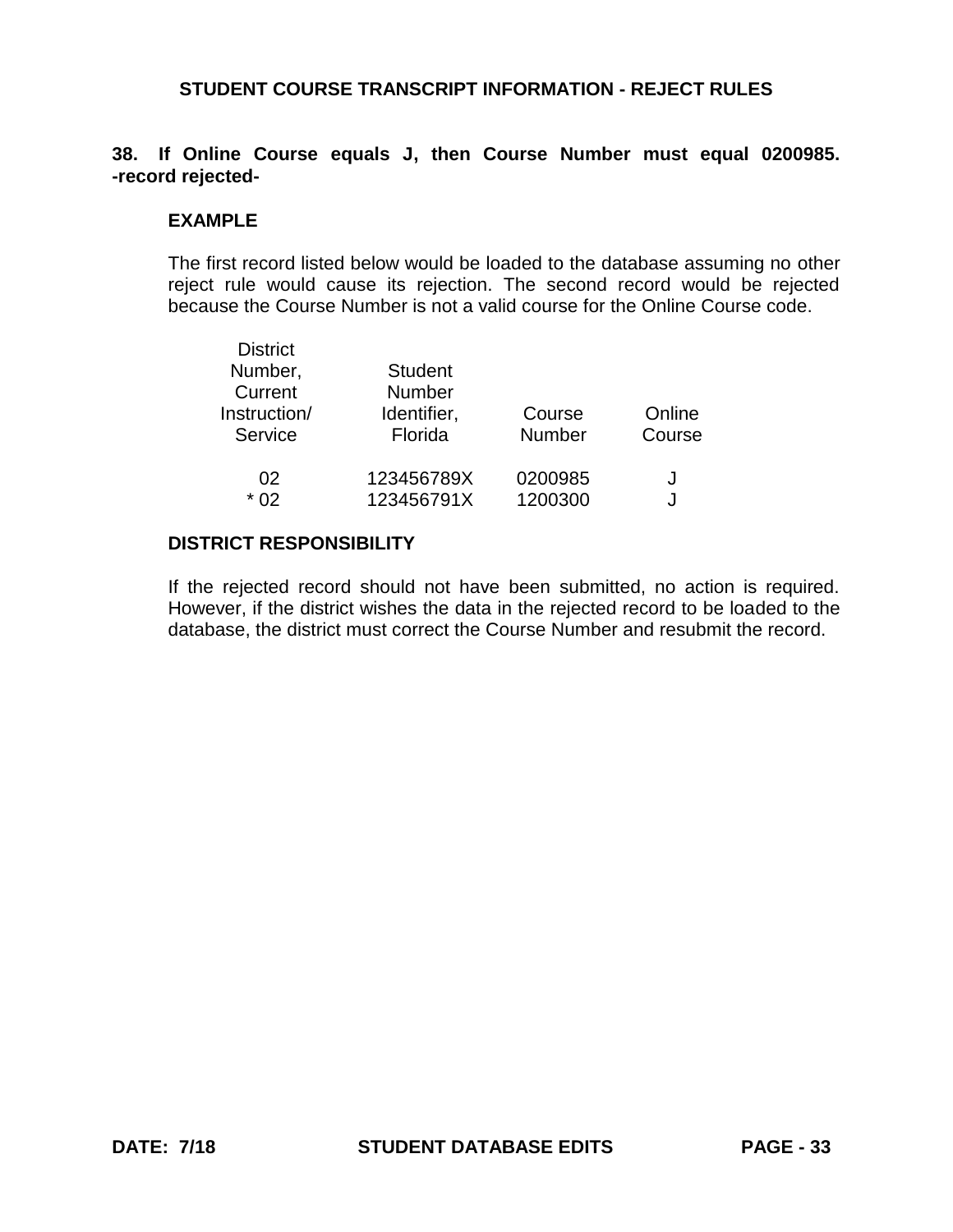## **38. If Online Course equals J, then Course Number must equal 0200985. -record rejected-**

### **EXAMPLE**

The first record listed below would be loaded to the database assuming no other reject rule would cause its rejection. The second record would be rejected because the Course Number is not a valid course for the Online Course code.

| <b>District</b><br>Number,<br>Current<br>Instruction/<br>Service | <b>Student</b><br><b>Number</b><br>Identifier,<br>Florida |         | Online<br>Course |
|------------------------------------------------------------------|-----------------------------------------------------------|---------|------------------|
| 02                                                               | 123456789X                                                | 0200985 | J                |
| $*$ 02                                                           | 123456791X                                                | 1200300 | J                |

### **DISTRICT RESPONSIBILITY**

If the rejected record should not have been submitted, no action is required. However, if the district wishes the data in the rejected record to be loaded to the database, the district must correct the Course Number and resubmit the record.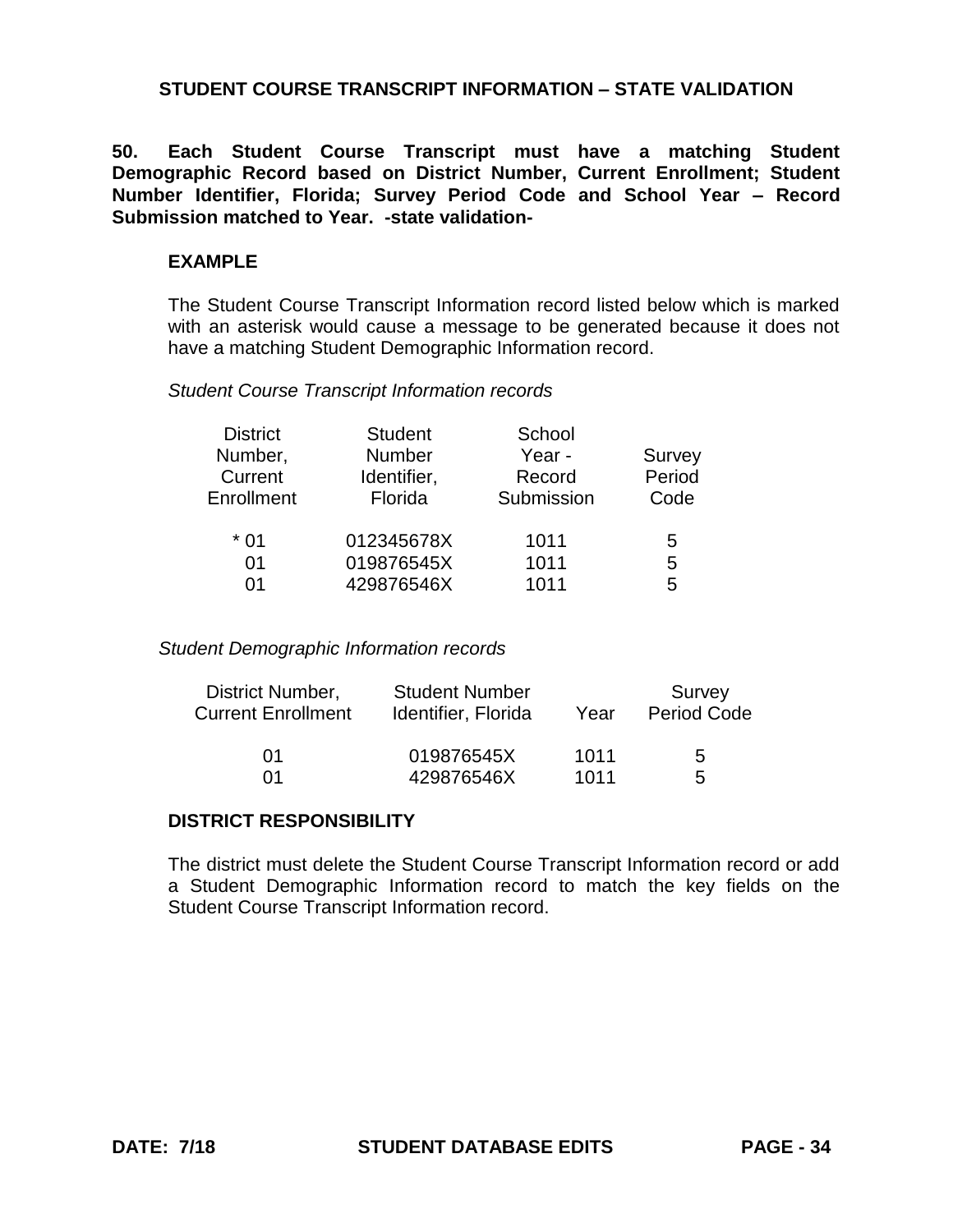# **STUDENT COURSE TRANSCRIPT INFORMATION – STATE VALIDATION**

**50. Each Student Course Transcript must have a matching Student Demographic Record based on District Number, Current Enrollment; Student Number Identifier, Florida; Survey Period Code and School Year – Record Submission matched to Year. -state validation-**

#### **EXAMPLE**

The Student Course Transcript Information record listed below which is marked with an asterisk would cause a message to be generated because it does not have a matching Student Demographic Information record.

#### *Student Course Transcript Information records*

| <b>District</b><br>Number,<br>Current<br>Enrollment | <b>Student</b><br>Number<br>Identifier,<br>Florida | School<br>Year -<br>Record<br>Submission | <b>Survey</b><br>Period<br>Code |
|-----------------------------------------------------|----------------------------------------------------|------------------------------------------|---------------------------------|
| $*01$                                               | 012345678X                                         | 1011                                     | 5                               |
| 01<br>01                                            | 019876545X<br>429876546X                           | 1011<br>1011                             | 5<br>5                          |
|                                                     |                                                    |                                          |                                 |

#### *Student Demographic Information records*

| District Number,          | <b>Student Number</b> | Year | Survey             |
|---------------------------|-----------------------|------|--------------------|
| <b>Current Enrollment</b> | Identifier, Florida   |      | <b>Period Code</b> |
| በ1                        | 019876545X            | 1011 | 5                  |
| ሰ1                        | 429876546X            | 1011 | $\mathbf{b}$       |

# **DISTRICT RESPONSIBILITY**

The district must delete the Student Course Transcript Information record or add a Student Demographic Information record to match the key fields on the Student Course Transcript Information record.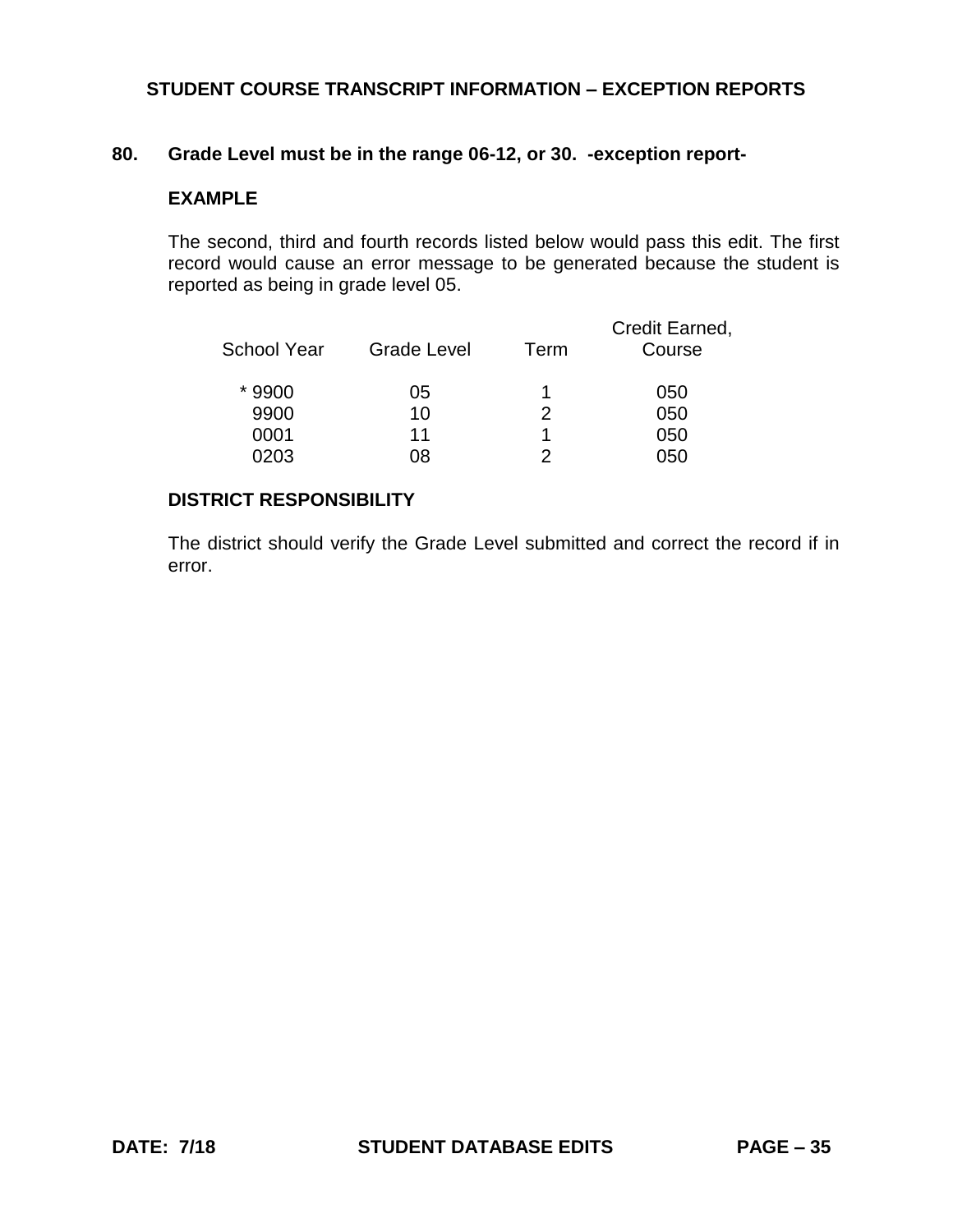### **80. Grade Level must be in the range 06-12, or 30. -exception report-**

#### **EXAMPLE**

The second, third and fourth records listed below would pass this edit. The first record would cause an error message to be generated because the student is reported as being in grade level 05.

| School Year | <b>Grade Level</b> | Term | Credit Earned,<br>Course |
|-------------|--------------------|------|--------------------------|
| *9900       | 05                 |      | 050                      |
| 9900        | 10                 | 2    | 050                      |
| 0001        | 11                 |      | 050                      |
| 0203        | 08                 |      | ገ50                      |

### **DISTRICT RESPONSIBILITY**

The district should verify the Grade Level submitted and correct the record if in error.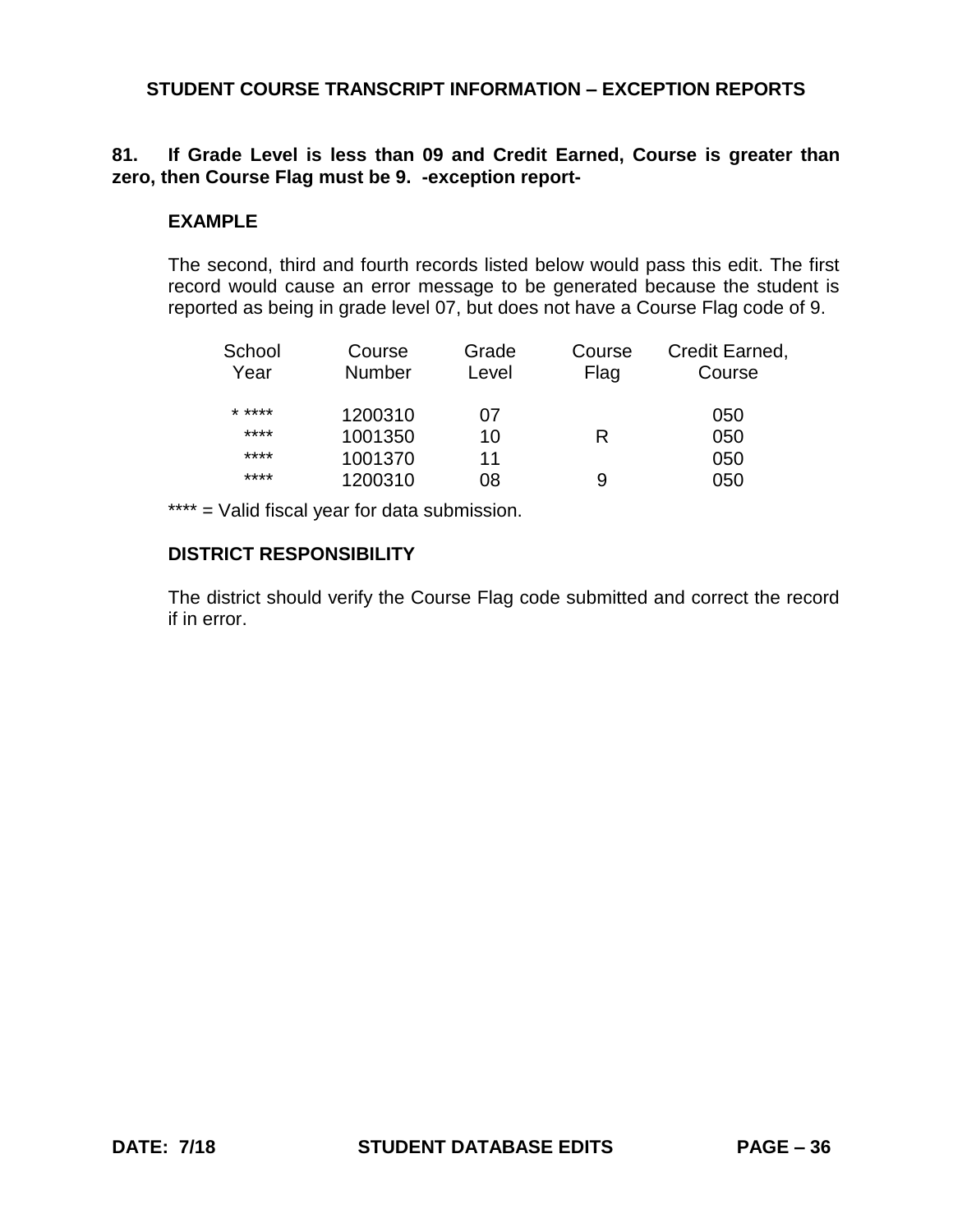# **81. If Grade Level is less than 09 and Credit Earned, Course is greater than zero, then Course Flag must be 9. -exception report-**

### **EXAMPLE**

The second, third and fourth records listed below would pass this edit. The first record would cause an error message to be generated because the student is reported as being in grade level 07, but does not have a Course Flag code of 9.

| School | Course        | Grade | Course | Credit Earned, |
|--------|---------------|-------|--------|----------------|
| Year   | <b>Number</b> | Level | Flag   | Course         |
| * **** | 1200310       | 07    |        | 050            |
| ****   | 1001350       | 10    | R      | 050            |
| ****   | 1001370       | 11    |        | 050            |
| ****   | 1200310       | 08    | 9      | 050            |

\*\*\*\* = Valid fiscal year for data submission.

### **DISTRICT RESPONSIBILITY**

The district should verify the Course Flag code submitted and correct the record if in error.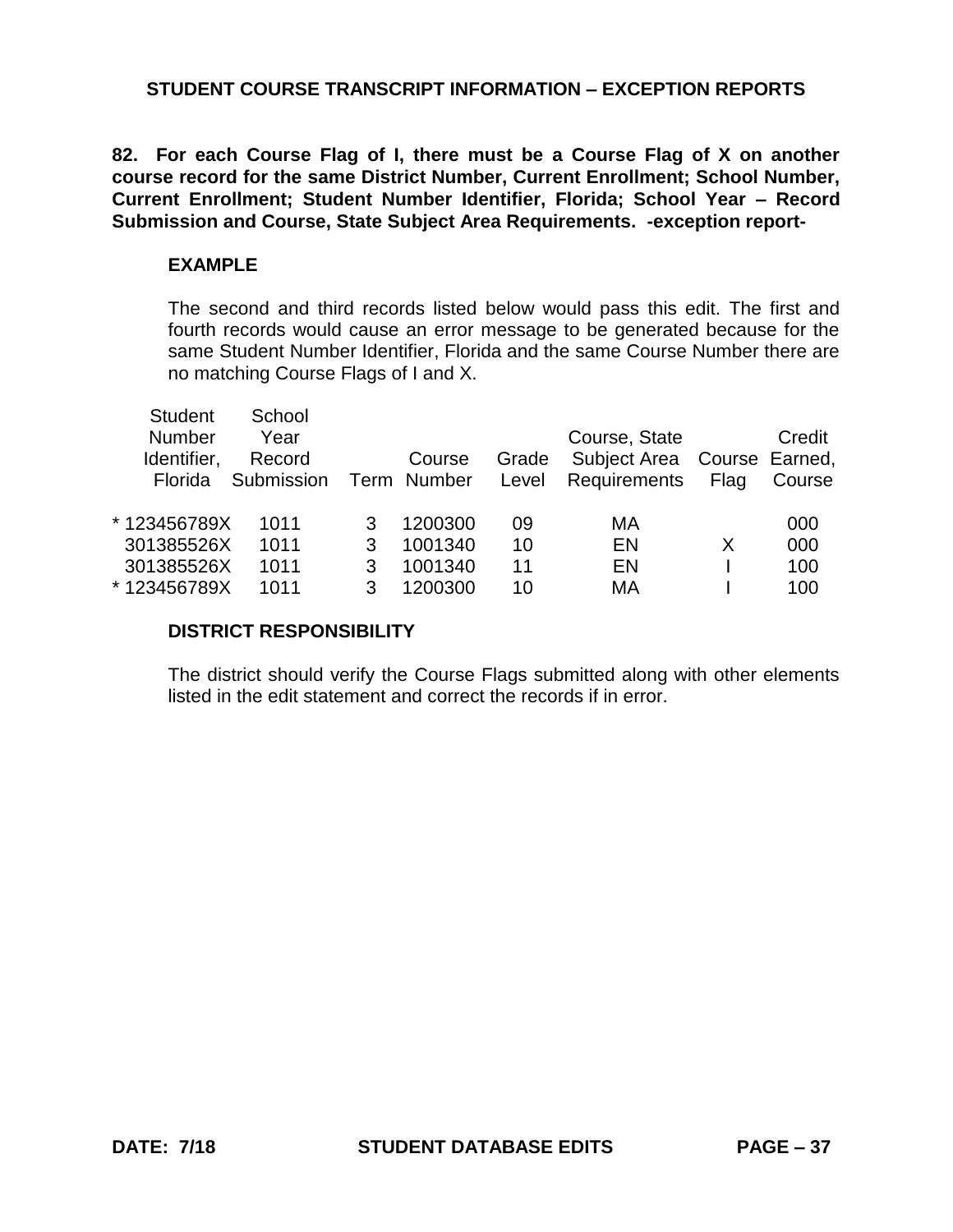**82. For each Course Flag of I, there must be a Course Flag of X on another course record for the same District Number, Current Enrollment; School Number, Current Enrollment; Student Number Identifier, Florida; School Year – Record Submission and Course, State Subject Area Requirements. -exception report-**

### **EXAMPLE**

The second and third records listed below would pass this edit. The first and fourth records would cause an error message to be generated because for the same Student Number Identifier, Florida and the same Course Number there are no matching Course Flags of I and X.

| <b>Student</b> | School     |   |             |       |                             |      |        |
|----------------|------------|---|-------------|-------|-----------------------------|------|--------|
| <b>Number</b>  | Year       |   |             |       | Course, State               |      | Credit |
| Identifier,    | Record     |   | Course      | Grade | Subject Area Course Earned, |      |        |
| Florida        | Submission |   | Term Number | Level | <b>Requirements</b>         | Flag | Course |
|                |            |   |             |       |                             |      |        |
| *123456789X    | 1011       |   | 1200300     | 09    | МA                          |      | 000    |
| 301385526X     | 1011       | 3 | 1001340     | 10    | EN                          | X    | 000    |
| 301385526X     | 1011       |   | 1001340     | 11    | EN                          |      | 100    |
| *123456789X    | 1011       |   | 1200300     | 10    | МA                          |      | 100    |
|                |            |   |             |       |                             |      |        |

# **DISTRICT RESPONSIBILITY**

The district should verify the Course Flags submitted along with other elements listed in the edit statement and correct the records if in error.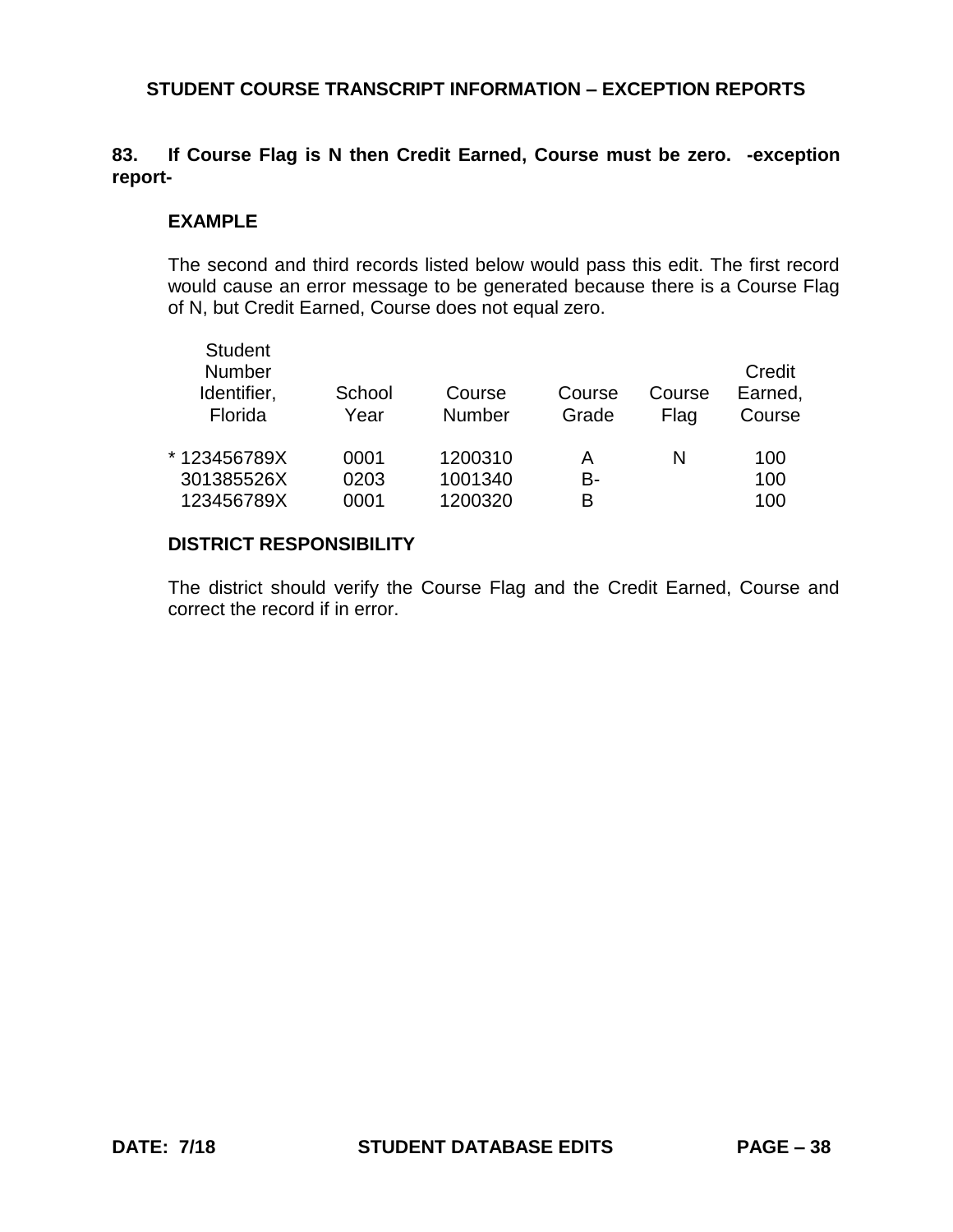# **83. If Course Flag is N then Credit Earned, Course must be zero. -exception report-**

### **EXAMPLE**

The second and third records listed below would pass this edit. The first record would cause an error message to be generated because there is a Course Flag of N, but Credit Earned, Course does not equal zero.

| <b>Student</b><br><b>Number</b><br>Identifier,<br>Florida | School<br>Year | Course<br><b>Number</b> | Course<br>Grade | Course<br>Flag | Credit<br>Earned,<br>Course |
|-----------------------------------------------------------|----------------|-------------------------|-----------------|----------------|-----------------------------|
| * 123456789X                                              | 0001           | 1200310                 | А               | N              | 100                         |
| 301385526X                                                | 0203           | 1001340                 | B-              |                | 100                         |
| 123456789X                                                | 0001           | 1200320                 | R               |                | 100                         |
|                                                           |                |                         |                 |                |                             |

### **DISTRICT RESPONSIBILITY**

The district should verify the Course Flag and the Credit Earned, Course and correct the record if in error.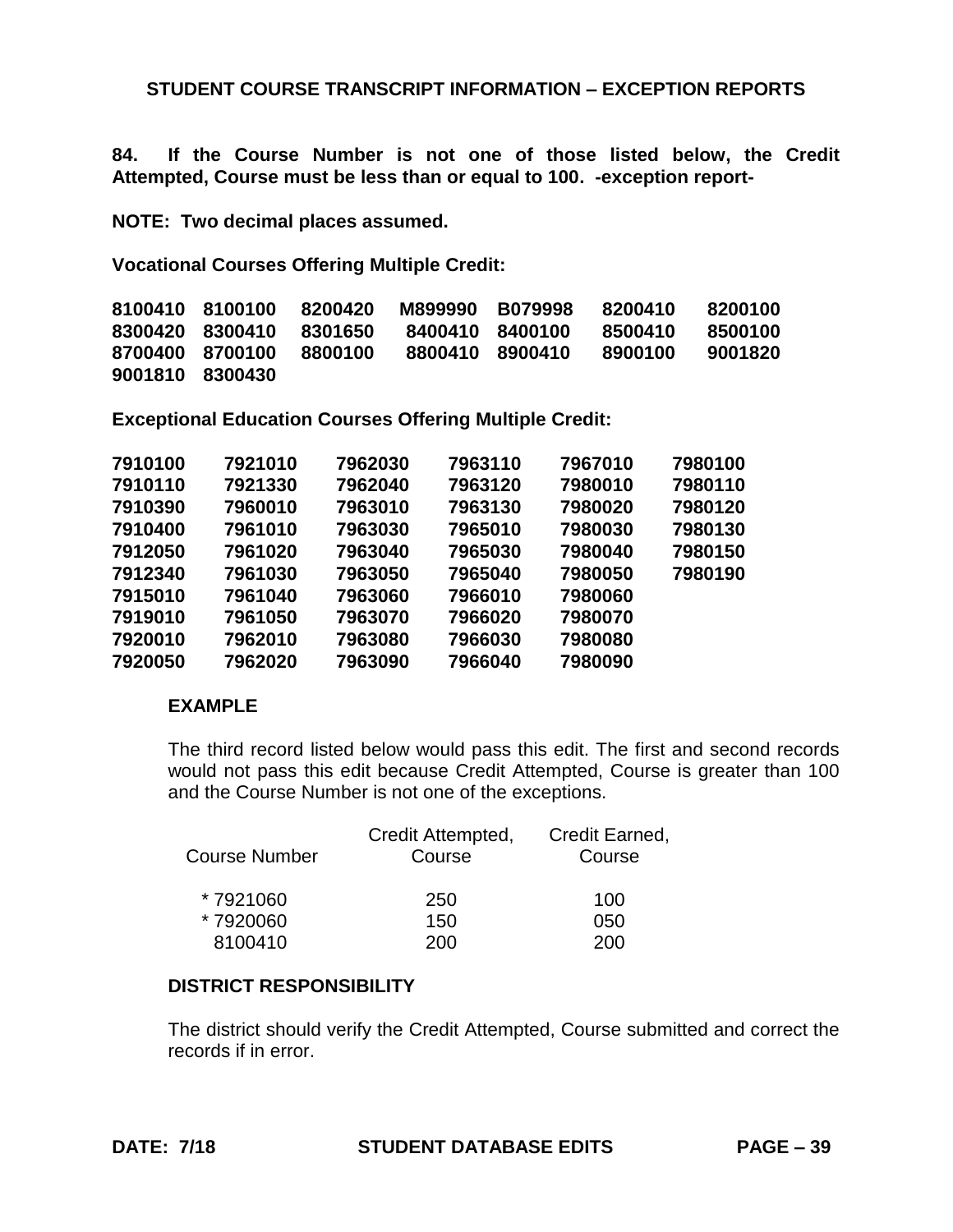**84. If the Course Number is not one of those listed below, the Credit Attempted, Course must be less than or equal to 100. -exception report-**

**NOTE: Two decimal places assumed.**

**Vocational Courses Offering Multiple Credit:**

| 8100410 8100100 |                 | 8200420 | M899990         | B079998 | 8200410 | 8200100 |
|-----------------|-----------------|---------|-----------------|---------|---------|---------|
|                 | 8300420 8300410 | 8301650 | 8400410 8400100 |         | 8500410 | 8500100 |
| 8700400 8700100 |                 | 8800100 | 8800410         | 8900410 | 8900100 | 9001820 |
| 9001810 8300430 |                 |         |                 |         |         |         |

**Exceptional Education Courses Offering Multiple Credit:**

| 7910100 | 7921010 | 7962030 | 7963110 | 7967010 | 7980100 |
|---------|---------|---------|---------|---------|---------|
| 7910110 | 7921330 | 7962040 | 7963120 | 7980010 | 7980110 |
| 7910390 | 7960010 | 7963010 | 7963130 | 7980020 | 7980120 |
| 7910400 | 7961010 | 7963030 | 7965010 | 7980030 | 7980130 |
| 7912050 | 7961020 | 7963040 | 7965030 | 7980040 | 7980150 |
| 7912340 | 7961030 | 7963050 | 7965040 | 7980050 | 7980190 |
| 7915010 | 7961040 | 7963060 | 7966010 | 7980060 |         |
| 7919010 | 7961050 | 7963070 | 7966020 | 7980070 |         |
| 7920010 | 7962010 | 7963080 | 7966030 | 7980080 |         |
| 7920050 | 7962020 | 7963090 | 7966040 | 7980090 |         |
|         |         |         |         |         |         |

# **EXAMPLE**

The third record listed below would pass this edit. The first and second records would not pass this edit because Credit Attempted, Course is greater than 100 and the Course Number is not one of the exceptions.

|                      | Credit Attempted, | Credit Earned, |
|----------------------|-------------------|----------------|
| <b>Course Number</b> | Course            | Course         |
| *7921060             | 250               | 100            |
| *7920060             | 150               | 050            |
| 8100410              | 200               | 200            |

## **DISTRICT RESPONSIBILITY**

The district should verify the Credit Attempted, Course submitted and correct the records if in error.